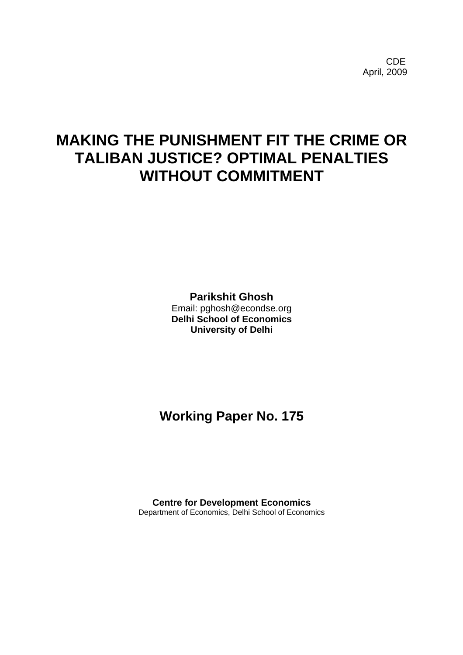**CDE COLLECTION** April, 2009

# **MAKING THE PUNISHMENT FIT THE CRIME OR TALIBAN JUSTICE? OPTIMAL PENALTIES WITHOUT COMMITMENT**

**Parikshit Ghosh** 

Email: pghosh@econdse.org **Delhi School of Economics University of Delhi** 

**Working Paper No. 175** 

**Centre for Development Economics**  Department of Economics, Delhi School of Economics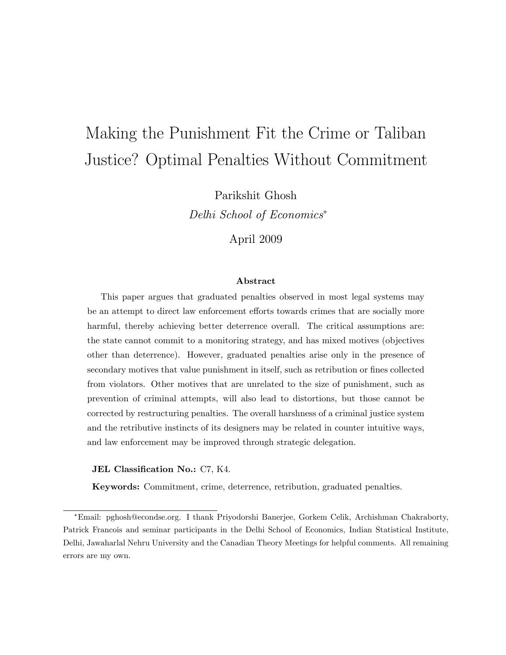# Making the Punishment Fit the Crime or Taliban Justice? Optimal Penalties Without Commitment

Parikshit Ghosh

Delhi School of Economics

April 2009

#### Abstract

This paper argues that graduated penalties observed in most legal systems may be an attempt to direct law enforcement efforts towards crimes that are socially more harmful, thereby achieving better deterrence overall. The critical assumptions are: the state cannot commit to a monitoring strategy, and has mixed motives (objectives other than deterrence). However, graduated penalties arise only in the presence of secondary motives that value punishment in itself, such as retribution or fines collected from violators. Other motives that are unrelated to the size of punishment, such as prevention of criminal attempts, will also lead to distortions, but those cannot be corrected by restructuring penalties. The overall harshness of a criminal justice system and the retributive instincts of its designers may be related in counter intuitive ways, and law enforcement may be improved through strategic delegation.

#### JEL Classification No.: C7, K4.

Keywords: Commitment, crime, deterrence, retribution, graduated penalties.

Email: pghosh@econdse.org. I thank Priyodorshi Banerjee, Gorkem Celik, Archishman Chakraborty, Patrick Francois and seminar participants in the Delhi School of Economics, Indian Statistical Institute, Delhi, Jawaharlal Nehru University and the Canadian Theory Meetings for helpful comments. All remaining errors are my own.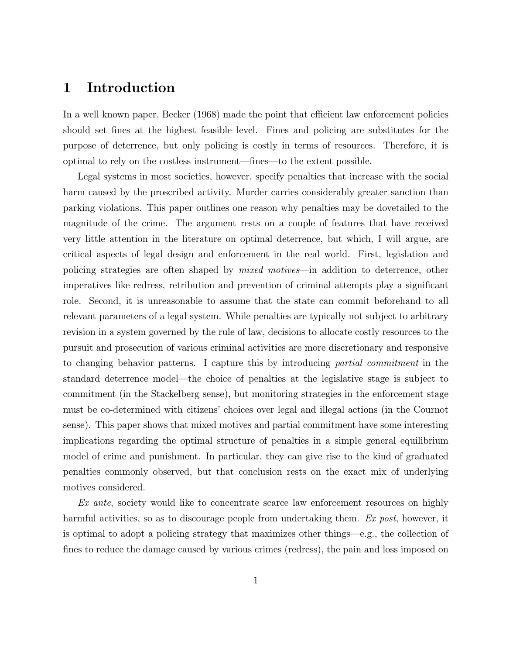## 1 Introduction

In a well known paper, Becker (1968) made the point that efficient law enforcement policies should set fines at the highest feasible level. Fines and policing are substitutes for the purpose of deterrence, but only policing is costly in terms of resources. Therefore, it is optimal to rely on the costless instrument—fines—to the extent possible.

Legal systems in most societies, however, specify penalties that increase with the social harm caused by the proscribed activity. Murder carries considerably greater sanction than parking violations. This paper outlines one reason why penalties may be dovetailed to the magnitude of the crime. The argument rests on a couple of features that have received very little attention in the literature on optimal deterrence, but which, I will argue, are critical aspects of legal design and enforcement in the real world. First, legislation and policing strategies are often shaped by *mixed motives*—in addition to deterrence, other imperatives like redress, retribution and prevention of criminal attempts play a signicant role. Second, it is unreasonable to assume that the state can commit beforehand to all relevant parameters of a legal system. While penalties are typically not subject to arbitrary revision in a system governed by the rule of law, decisions to allocate costly resources to the pursuit and prosecution of various criminal activities are more discretionary and responsive to changing behavior patterns. I capture this by introducing partial commitment in the standard deterrence model—the choice of penalties at the legislative stage is subject to commitment (in the Stackelberg sense), but monitoring strategies in the enforcement stage must be co-determined with citizens' choices over legal and illegal actions (in the Cournot sense). This paper shows that mixed motives and partial commitment have some interesting implications regarding the optimal structure of penalties in a simple general equilibrium model of crime and punishment. In particular, they can give rise to the kind of graduated penalties commonly observed, but that conclusion rests on the exact mix of underlying motives considered.

Ex ante, society would like to concentrate scarce law enforcement resources on highly harmful activities, so as to discourage people from undertaking them. Ex post, however, it is optimal to adopt a policing strategy that maximizes other things—e.g., the collection of fines to reduce the damage caused by various crimes (redress), the pain and loss imposed on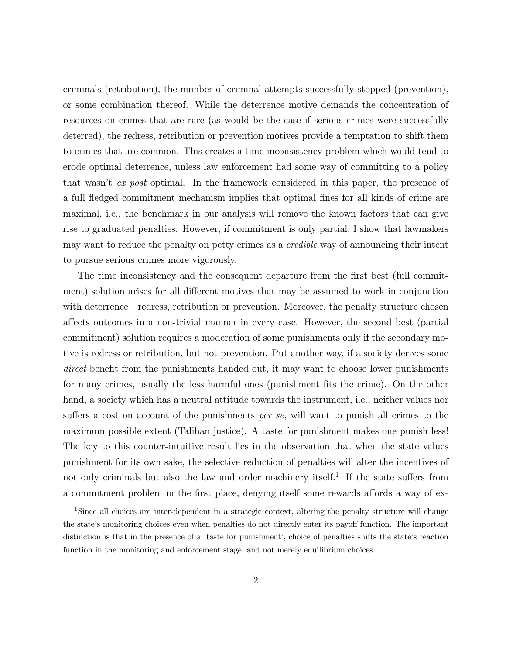criminals (retribution), the number of criminal attempts successfully stopped (prevention), or some combination thereof. While the deterrence motive demands the concentration of resources on crimes that are rare (as would be the case if serious crimes were successfully deterred), the redress, retribution or prevention motives provide a temptation to shift them to crimes that are common. This creates a time inconsistency problem which would tend to erode optimal deterrence, unless law enforcement had some way of committing to a policy that wasn't ex post optimal. In the framework considered in this paper, the presence of a full fledged commitment mechanism implies that optimal fines for all kinds of crime are maximal, i.e., the benchmark in our analysis will remove the known factors that can give rise to graduated penalties. However, if commitment is only partial, I show that lawmakers may want to reduce the penalty on petty crimes as a credible way of announcing their intent to pursue serious crimes more vigorously.

The time inconsistency and the consequent departure from the first best (full commitment) solution arises for all different motives that may be assumed to work in conjunction with deterrence—redress, retribution or prevention. Moreover, the penalty structure chosen affects outcomes in a non-trivial manner in every case. However, the second best (partial commitment) solution requires a moderation of some punishments only if the secondary motive is redress or retribution, but not prevention. Put another way, if a society derives some direct benefit from the punishments handed out, it may want to choose lower punishments for many crimes, usually the less harmful ones (punishment fits the crime). On the other hand, a society which has a neutral attitude towards the instrument, i.e., neither values nor suffers a cost on account of the punishments *per se*, will want to punish all crimes to the maximum possible extent (Taliban justice). A taste for punishment makes one punish less! The key to this counter-intuitive result lies in the observation that when the state values punishment for its own sake, the selective reduction of penalties will alter the incentives of not only criminals but also the law and order machinery itself.<sup>1</sup> If the state suffers from a commitment problem in the first place, denying itself some rewards affords a way of ex-

<sup>&</sup>lt;sup>1</sup>Since all choices are inter-dependent in a strategic context, altering the penalty structure will change the state's monitoring choices even when penalties do not directly enter its payoff function. The important distinction is that in the presence of a 'taste for punishment', choice of penalties shifts the state's reaction function in the monitoring and enforcement stage, and not merely equilibrium choices.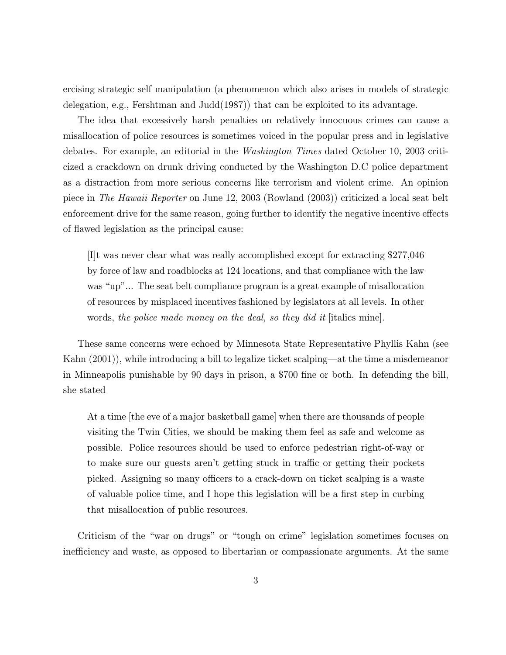ercising strategic self manipulation (a phenomenon which also arises in models of strategic delegation, e.g., Fershtman and Judd(1987)) that can be exploited to its advantage.

The idea that excessively harsh penalties on relatively innocuous crimes can cause a misallocation of police resources is sometimes voiced in the popular press and in legislative debates. For example, an editorial in the Washington Times dated October 10, 2003 criticized a crackdown on drunk driving conducted by the Washington D.C police department as a distraction from more serious concerns like terrorism and violent crime. An opinion piece in The Hawaii Reporter on June 12, 2003 (Rowland (2003)) criticized a local seat belt enforcement drive for the same reason, going further to identify the negative incentive effects of 
awed legislation as the principal cause:

[I]t was never clear what was really accomplished except for extracting \$277,046 by force of law and roadblocks at 124 locations, and that compliance with the law was "up"... The seat belt compliance program is a great example of misallocation of resources by misplaced incentives fashioned by legislators at all levels. In other words, the police made money on the deal, so they did it sitialics mine.

These same concerns were echoed by Minnesota State Representative Phyllis Kahn (see Kahn  $(2001)$ , while introducing a bill to legalize ticket scalping—at the time a misdemeanor in Minneapolis punishable by 90 days in prison, a \$700 fine or both. In defending the bill, she stated

At a time [the eve of a major basketball game] when there are thousands of people visiting the Twin Cities, we should be making them feel as safe and welcome as possible. Police resources should be used to enforce pedestrian right-of-way or to make sure our guests aren't getting stuck in traffic or getting their pockets picked. Assigning so many officers to a crack-down on ticket scalping is a waste of valuable police time, and I hope this legislation will be a first step in curbing that misallocation of public resources.

Criticism of the "war on drugs" or "tough on crime" legislation sometimes focuses on inefficiency and waste, as opposed to libertarian or compassionate arguments. At the same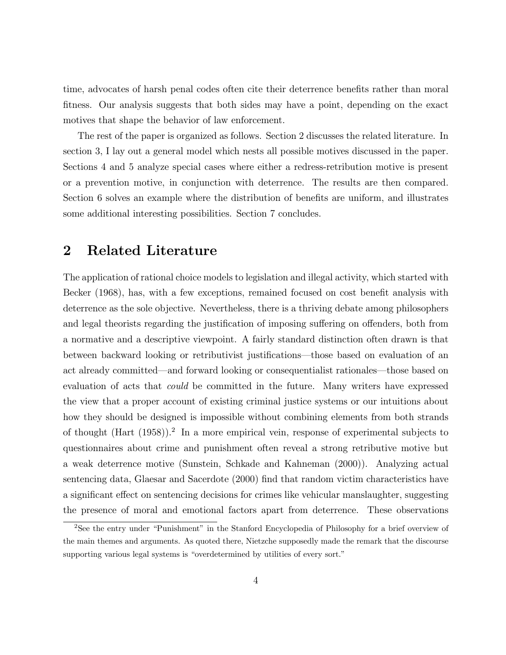time, advocates of harsh penal codes often cite their deterrence benets rather than moral fitness. Our analysis suggests that both sides may have a point, depending on the exact motives that shape the behavior of law enforcement.

The rest of the paper is organized as follows. Section 2 discusses the related literature. In section 3, I lay out a general model which nests all possible motives discussed in the paper. Sections 4 and 5 analyze special cases where either a redress-retribution motive is present or a prevention motive, in conjunction with deterrence. The results are then compared. Section 6 solves an example where the distribution of benefits are uniform, and illustrates some additional interesting possibilities. Section 7 concludes.

## 2 Related Literature

The application of rational choice models to legislation and illegal activity, which started with Becker (1968), has, with a few exceptions, remained focused on cost benefit analysis with deterrence as the sole objective. Nevertheless, there is a thriving debate among philosophers and legal theorists regarding the justification of imposing suffering on offenders, both from a normative and a descriptive viewpoint. A fairly standard distinction often drawn is that between backward looking or retributivist justifications—those based on evaluation of an act already committed—and forward looking or consequentialist rationales—those based on evaluation of acts that could be committed in the future. Many writers have expressed the view that a proper account of existing criminal justice systems or our intuitions about how they should be designed is impossible without combining elements from both strands of thought (Hart (1958)).<sup>2</sup> In a more empirical vein, response of experimental subjects to questionnaires about crime and punishment often reveal a strong retributive motive but a weak deterrence motive (Sunstein, Schkade and Kahneman (2000)). Analyzing actual sentencing data, Glaesar and Sacerdote (2000) find that random victim characteristics have a significant effect on sentencing decisions for crimes like vehicular manslaughter, suggesting the presence of moral and emotional factors apart from deterrence. These observations

<sup>&</sup>lt;sup>2</sup>See the entry under "Punishment" in the Stanford Encyclopedia of Philosophy for a brief overview of the main themes and arguments. As quoted there, Nietzche supposedly made the remark that the discourse supporting various legal systems is "overdetermined by utilities of every sort."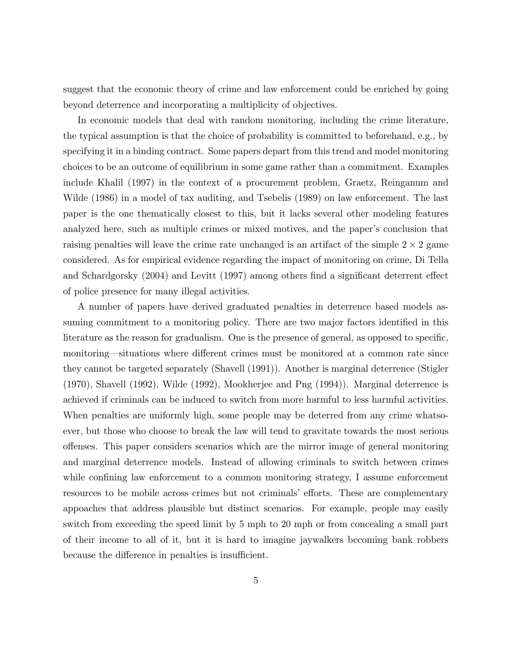suggest that the economic theory of crime and law enforcement could be enriched by going beyond deterrence and incorporating a multiplicity of objectives.

In economic models that deal with random monitoring, including the crime literature, the typical assumption is that the choice of probability is committed to beforehand, e.g., by specifying it in a binding contract. Some papers depart from this trend and model monitoring choices to be an outcome of equilibrium in some game rather than a commitment. Examples include Khalil (1997) in the context of a procurement problem, Graetz, Reinganum and Wilde (1986) in a model of tax auditing, and Tsebelis (1989) on law enforcement. The last paper is the one thematically closest to this, but it lacks several other modeling features analyzed here, such as multiple crimes or mixed motives, and the paper's conclusion that raising penalties will leave the crime rate unchanged is an artifact of the simple  $2 \times 2$  game considered. As for empirical evidence regarding the impact of monitoring on crime, Di Tella and Schardgorsky  $(2004)$  and Levitt  $(1997)$  among others find a significant deterrent effect of police presence for many illegal activities.

A number of papers have derived graduated penalties in deterrence based models assuming commitment to a monitoring policy. There are two major factors identified in this literature as the reason for gradualism. One is the presence of general, as opposed to specic, monitoring—situations where different crimes must be monitored at a common rate since they cannot be targeted separately (Shavell (1991)). Another is marginal deterrence (Stigler (1970), Shavell (1992), Wilde (1992), Mookherjee and Png (1994)). Marginal deterrence is achieved if criminals can be induced to switch from more harmful to less harmful activities. When penalties are uniformly high, some people may be deterred from any crime whatsoever, but those who choose to break the law will tend to gravitate towards the most serious offenses. This paper considers scenarios which are the mirror image of general monitoring and marginal deterrence models. Instead of allowing criminals to switch between crimes while confining law enforcement to a common monitoring strategy, I assume enforcement resources to be mobile across crimes but not criminals' efforts. These are complementary appoaches that address plausible but distinct scenarios. For example, people may easily switch from exceeding the speed limit by 5 mph to 20 mph or from concealing a small part of their income to all of it, but it is hard to imagine jaywalkers becoming bank robbers because the difference in penalties is insufficient.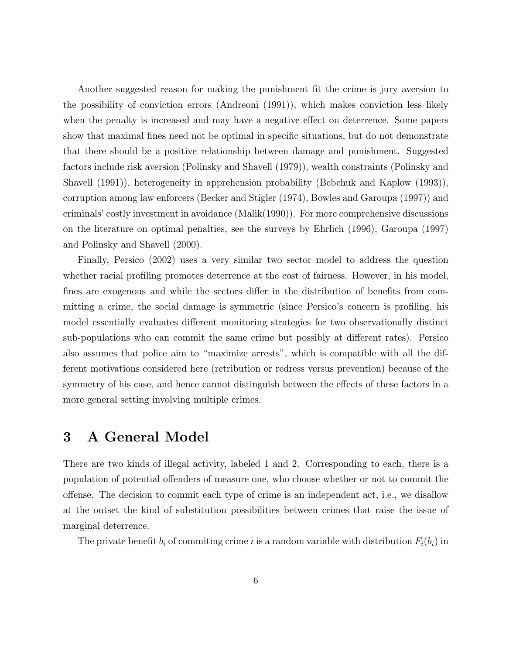Another suggested reason for making the punishment fit the crime is jury aversion to the possibility of conviction errors (Andreoni (1991)), which makes conviction less likely when the penalty is increased and may have a negative effect on deterrence. Some papers show that maximal fines need not be optimal in specific situations, but do not demonstrate that there should be a positive relationship between damage and punishment. Suggested factors include risk aversion (Polinsky and Shavell (1979)), wealth constraints (Polinsky and Shavell (1991)), heterogeneity in apprehension probability (Bebchuk and Kaplow (1993)), corruption among law enforcers (Becker and Stigler (1974), Bowles and Garoupa (1997)) and criminals' costly investment in avoidance (Malik(1990)). For more comprehensive discussions on the literature on optimal penalties, see the surveys by Ehrlich (1996), Garoupa (1997) and Polinsky and Shavell (2000).

Finally, Persico (2002) uses a very similar two sector model to address the question whether racial profiling promotes deterrence at the cost of fairness. However, in his model, fines are exogenous and while the sectors differ in the distribution of benefits from committing a crime, the social damage is symmetric (since Persico's concern is profiling, his model essentially evaluates different monitoring strategies for two observationally distinct sub-populations who can commit the same crime but possibly at different rates). Persico also assumes that police aim to "maximize arrests", which is compatible with all the different motivations considered here (retribution or redress versus prevention) because of the symmetry of his case, and hence cannot distinguish between the effects of these factors in a more general setting involving multiple crimes.

## 3 A General Model

There are two kinds of illegal activity, labeled 1 and 2. Corresponding to each, there is a population of potential offenders of measure one, who choose whether or not to commit the offense. The decision to commit each type of crime is an independent act, i.e., we disallow at the outset the kind of substitution possibilities between crimes that raise the issue of marginal deterrence.

The private benefit  $b_i$  of commiting crime i is a random variable with distribution  $F_i(b_i)$  in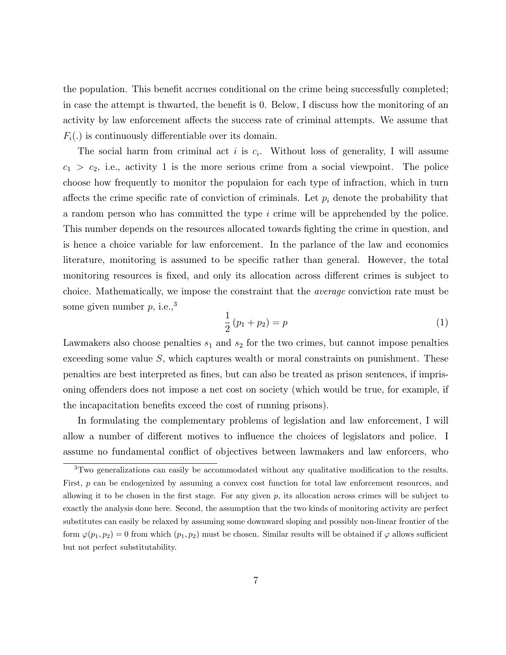the population. This benefit accrues conditional on the crime being successfully completed; in case the attempt is thwarted, the benefit is 0. Below, I discuss how the monitoring of an activity by law enforcement affects the success rate of criminal attempts. We assume that  $F_i(.)$  is continuously differentiable over its domain.

The social harm from criminal act i is  $c_i$ . Without loss of generality, I will assume  $c_1 > c_2$ , i.e., activity 1 is the more serious crime from a social viewpoint. The police choose how frequently to monitor the populaion for each type of infraction, which in turn affects the crime specific rate of conviction of criminals. Let  $p_i$  denote the probability that a random person who has committed the type i crime will be apprehended by the police. This number depends on the resources allocated towards ghting the crime in question, and is hence a choice variable for law enforcement. In the parlance of the law and economics literature, monitoring is assumed to be specic rather than general. However, the total monitoring resources is fixed, and only its allocation across different crimes is subject to choice. Mathematically, we impose the constraint that the average conviction rate must be some given number  $p$ , i.e.,<sup>3</sup>

$$
\frac{1}{2}(p_1 + p_2) = p \tag{1}
$$

Lawmakers also choose penalties  $s_1$  and  $s_2$  for the two crimes, but cannot impose penalties exceeding some value  $S$ , which captures wealth or moral constraints on punishment. These penalties are best interpreted as fines, but can also be treated as prison sentences, if imprisoning offenders does not impose a net cost on society (which would be true, for example, if the incapacitation benefits exceed the cost of running prisons).

In formulating the complementary problems of legislation and law enforcement, I will allow a number of different motives to influence the choices of legislators and police. I assume no fundamental conflict of objectives between lawmakers and law enforcers, who

<sup>&</sup>lt;sup>3</sup>Two generalizations can easily be accommodated without any qualitative modification to the results. First, p can be endogenized by assuming a convex cost function for total law enforcement resources, and allowing it to be chosen in the first stage. For any given  $p$ , its allocation across crimes will be subject to exactly the analysis done here. Second, the assumption that the two kinds of monitoring activity are perfect substitutes can easily be relaxed by assuming some downward sloping and possibly non-linear frontier of the form  $\varphi(p_1, p_2) = 0$  from which  $(p_1, p_2)$  must be chosen. Similar results will be obtained if  $\varphi$  allows sufficient but not perfect substitutability.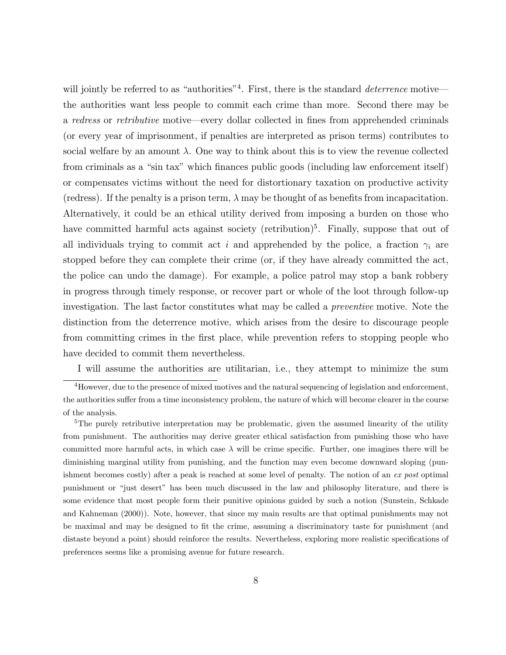will jointly be referred to as "authorities"<sup>4</sup>. First, there is the standard *deterrence* motive the authorities want less people to commit each crime than more. Second there may be a redress or retributive motive—every dollar collected in fines from apprehended criminals (or every year of imprisonment, if penalties are interpreted as prison terms) contributes to social welfare by an amount  $\lambda$ . One way to think about this is to view the revenue collected from criminals as a "sin tax" which finances public goods (including law enforcement itself) or compensates victims without the need for distortionary taxation on productive activity (redress). If the penalty is a prison term,  $\lambda$  may be thought of as benefits from incapacitation. Alternatively, it could be an ethical utility derived from imposing a burden on those who have committed harmful acts against society (retribution)<sup>5</sup>. Finally, suppose that out of all individuals trying to commit act i and apprehended by the police, a fraction  $\gamma_i$  are stopped before they can complete their crime (or, if they have already committed the act, the police can undo the damage). For example, a police patrol may stop a bank robbery in progress through timely response, or recover part or whole of the loot through follow-up investigation. The last factor constitutes what may be called a preventive motive. Note the distinction from the deterrence motive, which arises from the desire to discourage people from committing crimes in the first place, while prevention refers to stopping people who have decided to commit them nevertheless.

I will assume the authorities are utilitarian, i.e., they attempt to minimize the sum

<sup>5</sup>The purely retributive interpretation may be problematic, given the assumed linearity of the utility from punishment. The authorities may derive greater ethical satisfaction from punishing those who have committed more harmful acts, in which case  $\lambda$  will be crime specific. Further, one imagines there will be diminishing marginal utility from punishing, and the function may even become downward sloping (punishment becomes costly) after a peak is reached at some level of penalty. The notion of an ex post optimal punishment or \just desert" has been much discussed in the law and philosophy literature, and there is some evidence that most people form their punitive opinions guided by such a notion (Sunstein, Schkade and Kahneman (2000)). Note, however, that since my main results are that optimal punishments may not be maximal and may be designed to fit the crime, assuming a discriminatory taste for punishment (and distaste beyond a point) should reinforce the results. Nevertheless, exploring more realistic specifications of preferences seems like a promising avenue for future research.

 $4$ However, due to the presence of mixed motives and the natural sequencing of legislation and enforcement, the authorities suffer from a time inconsistency problem, the nature of which will become clearer in the course of the analysis.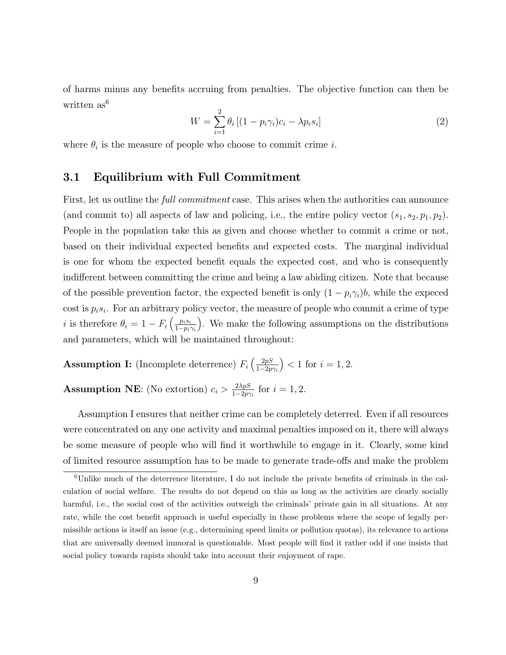of harms minus any benets accruing from penalties. The objective function can then be written as<sup>6</sup>

$$
W = \sum_{i=1}^{2} \theta_i \left[ (1 - p_i \gamma_i) c_i - \lambda p_i s_i \right]
$$
 (2)

where  $\theta_i$  is the measure of people who choose to commit crime i.

### 3.1 Equilibrium with Full Commitment

First, let us outline the *full commitment* case. This arises when the authorities can announce (and commit to) all aspects of law and policing, i.e., the entire policy vector  $(s_1, s_2, p_1, p_2)$ . People in the population take this as given and choose whether to commit a crime or not, based on their individual expected benets and expected costs. The marginal individual is one for whom the expected benefit equals the expected cost, and who is consequently indifferent between committing the crime and being a law abiding citizen. Note that because of the possible prevention factor, the expected benefit is only  $(1 - p_i \gamma_i)b$ , while the expeced  $\cos t$  is  $p_i s_i$ . For an arbitrary policy vector, the measure of people who commit a crime of type *i* is therefore  $\theta_i = 1 - F_i \left( \frac{p_i s_i}{1 - p_i} \right)$  $1-p_i\gamma_i$  . We make the following assumptions on the distributions and parameters, which will be maintained throughout:

**Assumption I:** (Incomplete deterrence)  $F_i\left(\frac{2pS}{1-2p}\right)$  $1-2p\gamma_i$  $($  < 1 for  $i = 1, 2$ .

**Assumption NE:** (No extortion)  $c_i > \frac{2\lambda pS}{1-2m}$  $\frac{2\lambda pS}{1-2p\gamma_i}$  for  $i=1,2$ .

Assumption I ensures that neither crime can be completely deterred. Even if all resources were concentrated on any one activity and maximal penalties imposed on it, there will always be some measure of people who will find it worthwhile to engage in it. Clearly, some kind of limited resource assumption has to be made to generate trade-offs and make the problem

 ${}^{6}$ Unlike much of the deterrence literature, I do not include the private benefits of criminals in the calculation of social welfare. The results do not depend on this as long as the activities are clearly socially harmful, i.e., the social cost of the activities outweigh the criminals' private gain in all situations. At any rate, while the cost benefit approach is useful especially in those problems where the scope of legally permissible actions is itself an issue (e.g., determining speed limits or pollution quotas), its relevance to actions that are universally deemed immoral is questionable. Most people will find it rather odd if one insists that social policy towards rapists should take into account their enjoyment of rape.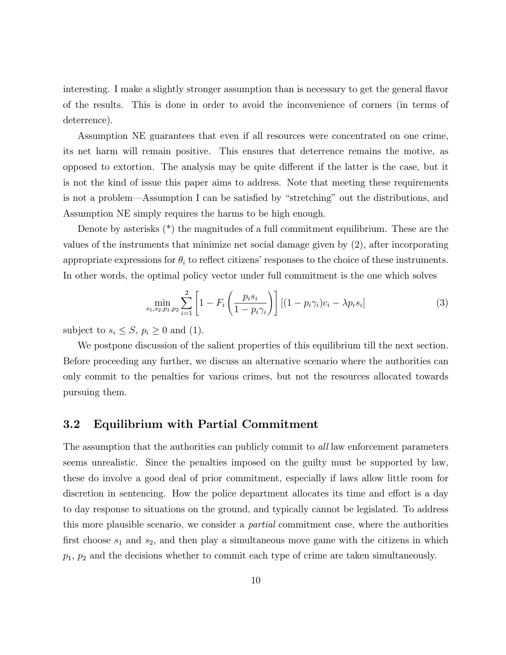interesting. I make a slightly stronger assumption than is necessary to get the general flavor of the results. This is done in order to avoid the inconvenience of corners (in terms of deterrence).

Assumption NE guarantees that even if all resources were concentrated on one crime, its net harm will remain positive. This ensures that deterrence remains the motive, as opposed to extortion. The analysis may be quite different if the latter is the case, but it is not the kind of issue this paper aims to address. Note that meeting these requirements is not a problem—Assumption I can be satisfied by "stretching" out the distributions, and Assumption NE simply requires the harms to be high enough.

Denote by asterisks (\*) the magnitudes of a full commitment equilibrium. These are the values of the instruments that minimize net social damage given by (2), after incorporating appropriate expressions for  $\theta_i$  to reflect citizens' responses to the choice of these instruments. In other words, the optimal policy vector under full commitment is the one which solves

$$
\min_{s_1, s_2, p_1, p_2} \sum_{i=1}^{2} \left[ 1 - F_i \left( \frac{p_i s_i}{1 - p_i \gamma_i} \right) \right] \left[ (1 - p_i \gamma_i) c_i - \lambda p_i s_i \right] \tag{3}
$$

subject to  $s_i \leq S$ ,  $p_i \geq 0$  and (1).

We postpone discussion of the salient properties of this equilibrium till the next section. Before proceeding any further, we discuss an alternative scenario where the authorities can only commit to the penalties for various crimes, but not the resources allocated towards pursuing them.

### 3.2 Equilibrium with Partial Commitment

The assumption that the authorities can publicly commit to all law enforcement parameters seems unrealistic. Since the penalties imposed on the guilty must be supported by law, these do involve a good deal of prior commitment, especially if laws allow little room for discretion in sentencing. How the police department allocates its time and effort is a day to day response to situations on the ground, and typically cannot be legislated. To address this more plausible scenario, we consider a partial commitment case, where the authorities first choose  $s_1$  and  $s_2$ , and then play a simultaneous move game with the citizens in which  $p_1$ ,  $p_2$  and the decisions whether to commit each type of crime are taken simultaneously.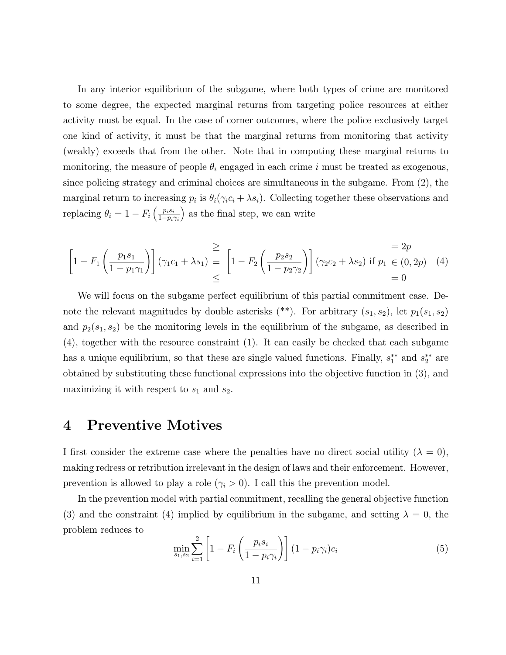In any interior equilibrium of the subgame, where both types of crime are monitored to some degree, the expected marginal returns from targeting police resources at either activity must be equal. In the case of corner outcomes, where the police exclusively target one kind of activity, it must be that the marginal returns from monitoring that activity (weakly) exceeds that from the other. Note that in computing these marginal returns to monitoring, the measure of people  $\theta_i$  engaged in each crime i must be treated as exogenous, since policing strategy and criminal choices are simultaneous in the subgame. From (2), the marginal return to increasing  $p_i$  is  $\theta_i(\gamma_i c_i + \lambda s_i)$ . Collecting together these observations and replacing  $\theta_i = 1 - F_i \left( \frac{p_i s_i}{1 - p_i} \right)$  $1-p_i\gamma_i$ ) as the final step, we can write

$$
\left[1 - F_1\left(\frac{p_1 s_1}{1 - p_1 \gamma_1}\right)\right] (\gamma_1 c_1 + \lambda s_1) \stackrel{\ge}{=} \left[1 - F_2\left(\frac{p_2 s_2}{1 - p_2 \gamma_2}\right)\right] (\gamma_2 c_2 + \lambda s_2) \text{ if } p_1 \in (0, 2p) \quad (4) \\ = 0
$$

We will focus on the subgame perfect equilibrium of this partial commitment case. Denote the relevant magnitudes by double asterisks  $(*^*)$ . For arbitrary  $(s_1, s_2)$ , let  $p_1(s_1, s_2)$ and  $p_2(s_1, s_2)$  be the monitoring levels in the equilibrium of the subgame, as described in (4), together with the resource constraint (1). It can easily be checked that each subgame has a unique equilibrium, so that these are single valued functions. Finally,  $s_1^{**}$  and  $s_2^{**}$  are obtained by substituting these functional expressions into the objective function in (3), and maximizing it with respect to  $s_1$  and  $s_2$ .

## 4 Preventive Motives

I first consider the extreme case where the penalties have no direct social utility ( $\lambda = 0$ ), making redress or retribution irrelevant in the design of laws and their enforcement. However, prevention is allowed to play a role  $(\gamma_i > 0)$ . I call this the prevention model.

In the prevention model with partial commitment, recalling the general objective function (3) and the constraint (4) implied by equilibrium in the subgame, and setting  $\lambda = 0$ , the problem reduces to

$$
\min_{s_1, s_2} \sum_{i=1}^{2} \left[ 1 - F_i \left( \frac{p_i s_i}{1 - p_i \gamma_i} \right) \right] (1 - p_i \gamma_i) c_i \tag{5}
$$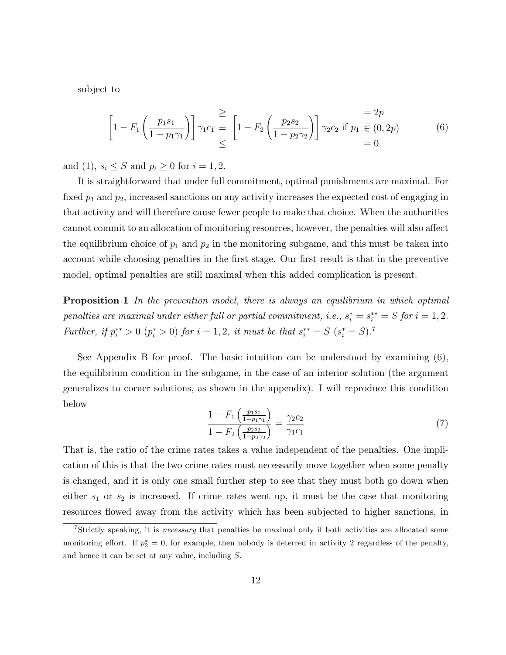subject to

$$
\left[1 - F_1 \left(\frac{p_1 s_1}{1 - p_1 \gamma_1}\right)\right] \gamma_1 c_1 = \left[1 - F_2 \left(\frac{p_2 s_2}{1 - p_2 \gamma_2}\right)\right] \gamma_2 c_2 \text{ if } p_1 \in (0, 2p) = 0
$$
\n
$$
= 0
$$
\n(6)

and (1),  $s_i \leq S$  and  $p_i \geq 0$  for  $i = 1, 2$ .

It is straightforward that under full commitment, optimal punishments are maximal. For fixed  $p_1$  and  $p_2$ , increased sanctions on any activity increases the expected cost of engaging in that activity and will therefore cause fewer people to make that choice. When the authorities cannot commit to an allocation of monitoring resources, however, the penalties will also affect the equilibrium choice of  $p_1$  and  $p_2$  in the monitoring subgame, and this must be taken into account while choosing penalties in the first stage. Our first result is that in the preventive model, optimal penalties are still maximal when this added complication is present.

**Proposition 1** In the prevention model, there is always an equilibrium in which optimal penalties are maximal under either full or partial commitment, i.e.,  $s_i^* = s_i^{**} = S$  for  $i = 1, 2$ . Further, if  $p_i^{**} > 0$   $(p_i^{*} > 0)$  for  $i = 1, 2$ , it must be that  $s_i^{**} = S$   $(s_i^{*} = S)$ .

See Appendix B for proof. The basic intuition can be understood by examining (6), the equilibrium condition in the subgame, in the case of an interior solution (the argument generalizes to corner solutions, as shown in the appendix). I will reproduce this condition below

$$
\frac{1 - F_1\left(\frac{p_1 s_1}{1 - p_1 \gamma_1}\right)}{1 - F_2\left(\frac{p_2 s_2}{1 - p_2 \gamma_2}\right)} = \frac{\gamma_2 c_2}{\gamma_1 c_1} \tag{7}
$$

That is, the ratio of the crime rates takes a value independent of the penalties. One implication of this is that the two crime rates must necessarily move together when some penalty is changed, and it is only one small further step to see that they must both go down when either  $s_1$  or  $s_2$  is increased. If crime rates went up, it must be the case that monitoring resources flowed away from the activity which has been subjected to higher sanctions, in

<sup>7</sup>Strictly speaking, it is necessary that penalties be maximal only if both activities are allocated some monitoring effort. If  $p_2^* = 0$ , for example, then nobody is deterred in activity 2 regardless of the penalty, and hence it can be set at any value, including S.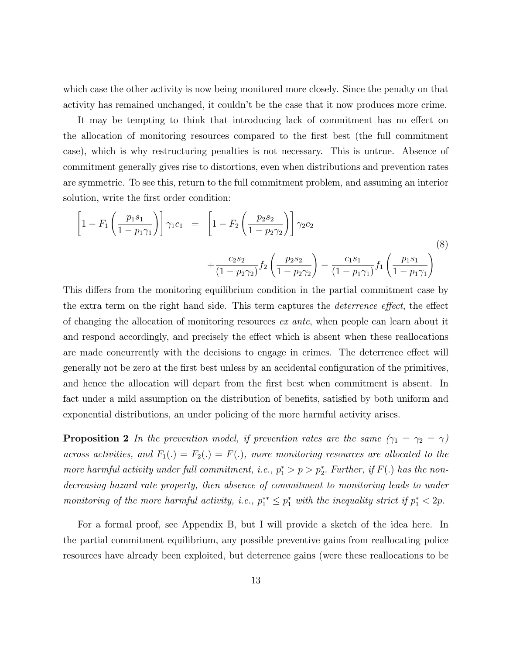which case the other activity is now being monitored more closely. Since the penalty on that activity has remained unchanged, it couldn't be the case that it now produces more crime.

It may be tempting to think that introducing lack of commitment has no effect on the allocation of monitoring resources compared to the first best (the full commitment case), which is why restructuring penalties is not necessary. This is untrue. Absence of commitment generally gives rise to distortions, even when distributions and prevention rates are symmetric. To see this, return to the full commitment problem, and assuming an interior solution, write the first order condition:

$$
\left[1 - F_1 \left(\frac{p_1 s_1}{1 - p_1 \gamma_1}\right)\right] \gamma_1 c_1 = \left[1 - F_2 \left(\frac{p_2 s_2}{1 - p_2 \gamma_2}\right)\right] \gamma_2 c_2 + \frac{c_2 s_2}{(1 - p_2 \gamma_2)} f_2 \left(\frac{p_2 s_2}{1 - p_2 \gamma_2}\right) - \frac{c_1 s_1}{(1 - p_1 \gamma_1)} f_1 \left(\frac{p_1 s_1}{1 - p_1 \gamma_1}\right)
$$
\n(8)

This differs from the monitoring equilibrium condition in the partial commitment case by the extra term on the right hand side. This term captures the *deterrence effect*, the effect of changing the allocation of monitoring resources ex ante, when people can learn about it and respond accordingly, and precisely the effect which is absent when these reallocations are made concurrently with the decisions to engage in crimes. The deterrence effect will generally not be zero at the first best unless by an accidental configuration of the primitives, and hence the allocation will depart from the first best when commitment is absent. In fact under a mild assumption on the distribution of benefits, satisfied by both uniform and exponential distributions, an under policing of the more harmful activity arises.

**Proposition 2** In the prevention model, if prevention rates are the same  $(\gamma_1 = \gamma_2 = \gamma)$ across activities, and  $F_1(.) = F_2(.) = F(.)$ , more monitoring resources are allocated to the more harmful activity under full commitment, i.e.,  $p_1^* > p > p_2^*$ . Further, if  $F(.)$  has the nondecreasing hazard rate property, then absence of commitment to monitoring leads to under monitoring of the more harmful activity, i.e.,  $p_1^{**} \leq p_1^*$  with the inequality strict if  $p_1^* < 2p$ .

For a formal proof, see Appendix B, but I will provide a sketch of the idea here. In the partial commitment equilibrium, any possible preventive gains from reallocating police resources have already been exploited, but deterrence gains (were these reallocations to be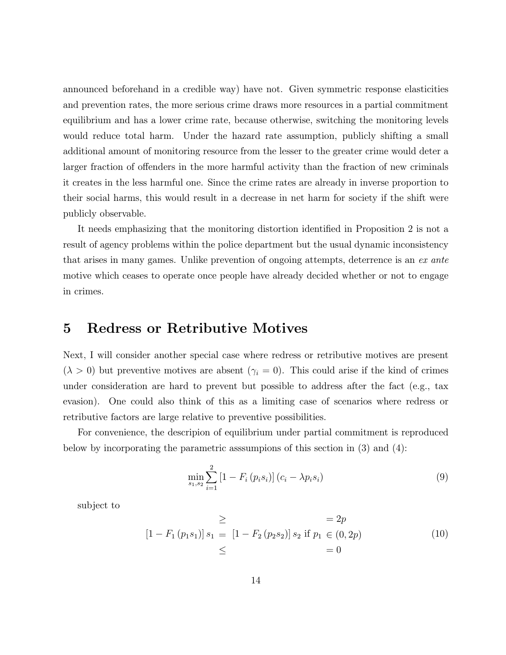announced beforehand in a credible way) have not. Given symmetric response elasticities and prevention rates, the more serious crime draws more resources in a partial commitment equilibrium and has a lower crime rate, because otherwise, switching the monitoring levels would reduce total harm. Under the hazard rate assumption, publicly shifting a small additional amount of monitoring resource from the lesser to the greater crime would deter a larger fraction of offenders in the more harmful activity than the fraction of new criminals it creates in the less harmful one. Since the crime rates are already in inverse proportion to their social harms, this would result in a decrease in net harm for society if the shift were publicly observable.

It needs emphasizing that the monitoring distortion identied in Proposition 2 is not a result of agency problems within the police department but the usual dynamic inconsistency that arises in many games. Unlike prevention of ongoing attempts, deterrence is an ex ante motive which ceases to operate once people have already decided whether or not to engage in crimes.

## 5 Redress or Retributive Motives

Next, I will consider another special case where redress or retributive motives are present  $(\lambda > 0)$  but preventive motives are absent  $(\gamma_i = 0)$ . This could arise if the kind of crimes under consideration are hard to prevent but possible to address after the fact (e.g., tax evasion). One could also think of this as a limiting case of scenarios where redress or retributive factors are large relative to preventive possibilities.

For convenience, the descripion of equilibrium under partial commitment is reproduced below by incorporating the parametric asssumpions of this section in (3) and (4):

$$
\min_{s_1, s_2} \sum_{i=1}^{2} \left[ 1 - F_i \left( p_i s_i \right) \right] \left( c_i - \lambda p_i s_i \right) \tag{9}
$$

subject to

$$
\geq \qquad = 2p
$$
  
\n
$$
[1 - F_1(p_1 s_1)] s_1 = [1 - F_2(p_2 s_2)] s_2 \text{ if } p_1 \in (0, 2p)
$$
  
\n
$$
\leq \qquad = 0
$$
\n(10)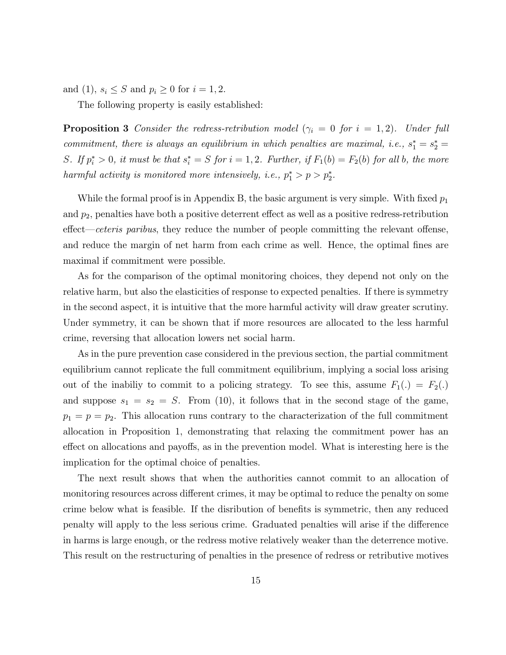and (1),  $s_i \leq S$  and  $p_i \geq 0$  for  $i = 1, 2$ .

The following property is easily established:

**Proposition 3** Consider the redress-retribution model ( $\gamma_i = 0$  for  $i = 1, 2$ ). Under full commitment, there is always an equilibrium in which penalties are maximal, i.e.,  $s_1^* = s_2^* =$ S. If  $p_i^* > 0$ , it must be that  $s_i^* = S$  for  $i = 1, 2$ . Further, if  $F_1(b) = F_2(b)$  for all b, the more harmful activity is monitored more intensively, i.e.,  $p_1^* > p > p_2^*$ .

While the formal proof is in Appendix B, the basic argument is very simple. With fixed  $p_1$ and  $p_2$ , penalties have both a positive deterrent effect as well as a positive redress-retribution  $effect—ceteris \ paribus$ , they reduce the number of people committing the relevant offense, and reduce the margin of net harm from each crime as well. Hence, the optimal fines are maximal if commitment were possible.

As for the comparison of the optimal monitoring choices, they depend not only on the relative harm, but also the elasticities of response to expected penalties. If there is symmetry in the second aspect, it is intuitive that the more harmful activity will draw greater scrutiny. Under symmetry, it can be shown that if more resources are allocated to the less harmful crime, reversing that allocation lowers net social harm.

As in the pure prevention case considered in the previous section, the partial commitment equilibrium cannot replicate the full commitment equilibrium, implying a social loss arising out of the inabiliy to commit to a policing strategy. To see this, assume  $F_1(.) = F_2(.)$ and suppose  $s_1 = s_2 = S$ . From (10), it follows that in the second stage of the game,  $p_1 = p = p_2$ . This allocation runs contrary to the characterization of the full commitment allocation in Proposition 1, demonstrating that relaxing the commitment power has an effect on allocations and payoffs, as in the prevention model. What is interesting here is the implication for the optimal choice of penalties.

The next result shows that when the authorities cannot commit to an allocation of monitoring resources across different crimes, it may be optimal to reduce the penalty on some crime below what is feasible. If the disribution of benefits is symmetric, then any reduced penalty will apply to the less serious crime. Graduated penalties will arise if the difference in harms is large enough, or the redress motive relatively weaker than the deterrence motive. This result on the restructuring of penalties in the presence of redress or retributive motives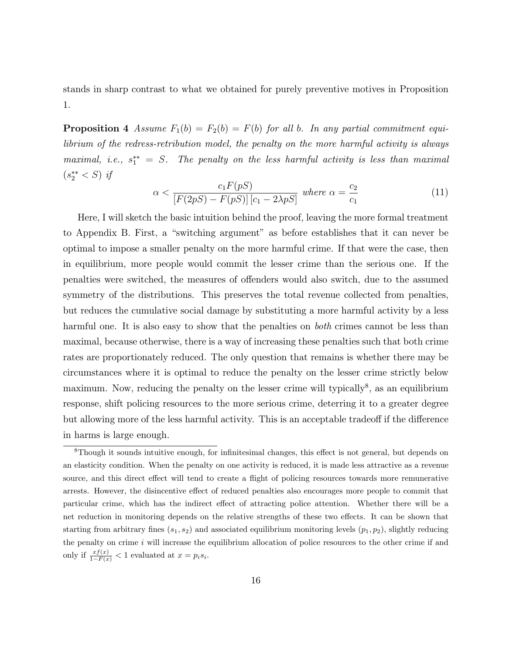stands in sharp contrast to what we obtained for purely preventive motives in Proposition 1.

**Proposition 4** Assume  $F_1(b) = F_2(b) = F(b)$  for all b. In any partial commitment equilibrium of the redress-retribution model, the penalty on the more harmful activity is always maximal, i.e.,  $s_1^{**} = S$ . The penalty on the less harmful activity is less than maximal  $(s_2^{**} < S)$  if

$$
\alpha < \frac{c_1 F(pS)}{\left[F(2pS) - F(pS)\right]\left[c_1 - 2\lambda pS\right]} \text{ where } \alpha = \frac{c_2}{c_1} \tag{11}
$$

Here, I will sketch the basic intuition behind the proof, leaving the more formal treatment to Appendix B. First, a "switching argument" as before establishes that it can never be optimal to impose a smaller penalty on the more harmful crime. If that were the case, then in equilibrium, more people would commit the lesser crime than the serious one. If the penalties were switched, the measures of offenders would also switch, due to the assumed symmetry of the distributions. This preserves the total revenue collected from penalties, but reduces the cumulative social damage by substituting a more harmful activity by a less harmful one. It is also easy to show that the penalties on *both* crimes cannot be less than maximal, because otherwise, there is a way of increasing these penalties such that both crime rates are proportionately reduced. The only question that remains is whether there may be circumstances where it is optimal to reduce the penalty on the lesser crime strictly below maximum. Now, reducing the penalty on the lesser crime will typically<sup>8</sup>, as an equilibrium response, shift policing resources to the more serious crime, deterring it to a greater degree but allowing more of the less harmful activity. This is an acceptable tradeoff if the difference in harms is large enough.

<sup>&</sup>lt;sup>8</sup>Though it sounds intuitive enough, for infinitesimal changes, this effect is not general, but depends on an elasticity condition. When the penalty on one activity is reduced, it is made less attractive as a revenue source, and this direct effect will tend to create a flight of policing resources towards more remunerative arrests. However, the disincentive effect of reduced penalties also encourages more people to commit that particular crime, which has the indirect effect of attracting police attention. Whether there will be a net reduction in monitoring depends on the relative strengths of these two effects. It can be shown that starting from arbitrary fines  $(s_1, s_2)$  and associated equilibrium monitoring levels  $(p_1, p_2)$ , slightly reducing the penalty on crime  $i$  will increase the equilibrium allocation of police resources to the other crime if and only if  $\frac{xf(x)}{1-F(x)} < 1$  evaluated at  $x = p_i s_i$ .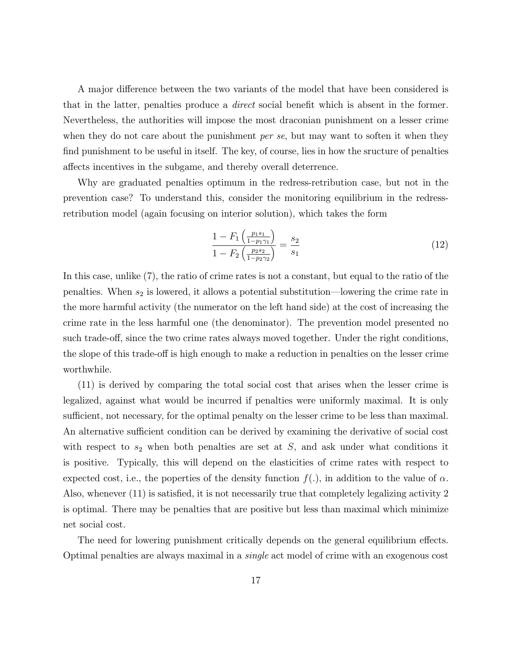A major difference between the two variants of the model that have been considered is that in the latter, penalties produce a direct social benet which is absent in the former. Nevertheless, the authorities will impose the most draconian punishment on a lesser crime when they do not care about the punishment *per se*, but may want to soften it when they find punishment to be useful in itself. The key, of course, lies in how the sructure of penalties affects incentives in the subgame, and thereby overall deterrence.

Why are graduated penalties optimum in the redress-retribution case, but not in the prevention case? To understand this, consider the monitoring equilibrium in the redressretribution model (again focusing on interior solution), which takes the form

$$
\frac{1 - F_1 \left(\frac{p_1 s_1}{1 - p_1 \gamma_1}\right)}{1 - F_2 \left(\frac{p_2 s_2}{1 - p_2 \gamma_2}\right)} = \frac{s_2}{s_1} \tag{12}
$$

In this case, unlike (7), the ratio of crime rates is not a constant, but equal to the ratio of the penalties. When  $s_2$  is lowered, it allows a potential substitution—lowering the crime rate in the more harmful activity (the numerator on the left hand side) at the cost of increasing the crime rate in the less harmful one (the denominator). The prevention model presented no such trade-off, since the two crime rates always moved together. Under the right conditions, the slope of this trade-off is high enough to make a reduction in penalties on the lesser crime worthwhile.

(11) is derived by comparing the total social cost that arises when the lesser crime is legalized, against what would be incurred if penalties were uniformly maximal. It is only sufficient, not necessary, for the optimal penalty on the lesser crime to be less than maximal. An alternative sufficient condition can be derived by examining the derivative of social cost with respect to  $s_2$  when both penalties are set at  $S$ , and ask under what conditions it is positive. Typically, this will depend on the elasticities of crime rates with respect to expected cost, i.e., the poperties of the density function  $f(.)$ , in addition to the value of  $\alpha$ . Also, whenever  $(11)$  is satisfied, it is not necessarily true that completely legalizing activity 2 is optimal. There may be penalties that are positive but less than maximal which minimize net social cost.

The need for lowering punishment critically depends on the general equilibrium effects. Optimal penalties are always maximal in a single act model of crime with an exogenous cost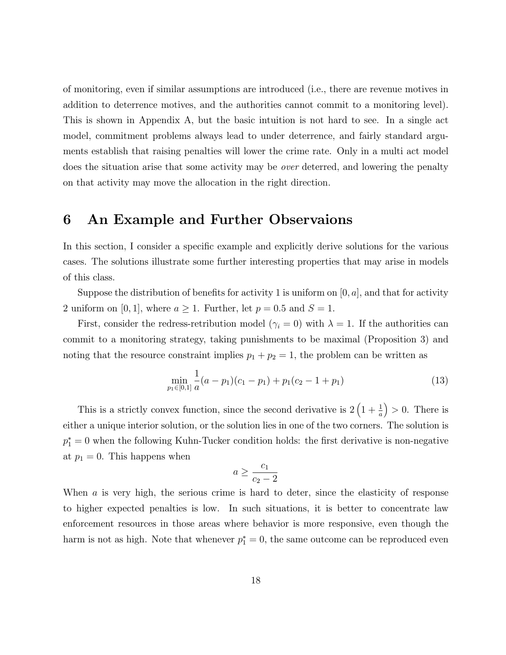of monitoring, even if similar assumptions are introduced (i.e., there are revenue motives in addition to deterrence motives, and the authorities cannot commit to a monitoring level). This is shown in Appendix A, but the basic intuition is not hard to see. In a single act model, commitment problems always lead to under deterrence, and fairly standard arguments establish that raising penalties will lower the crime rate. Only in a multi act model does the situation arise that some activity may be over deterred, and lowering the penalty on that activity may move the allocation in the right direction.

## 6 An Example and Further Observaions

In this section, I consider a specific example and explicitly derive solutions for the various cases. The solutions illustrate some further interesting properties that may arise in models of this class.

Suppose the distribution of benefits for activity 1 is uniform on  $[0, a]$ , and that for activity 2 uniform on [0, 1], where  $a \ge 1$ . Further, let  $p = 0.5$  and  $S = 1$ .

First, consider the redress-retribution model ( $\gamma_i = 0$ ) with  $\lambda = 1$ . If the authorities can commit to a monitoring strategy, taking punishments to be maximal (Proposition 3) and noting that the resource constraint implies  $p_1 + p_2 = 1$ , the problem can be written as

$$
\min_{p_1 \in [0,1]} \frac{1}{a}(a-p_1)(c_1-p_1) + p_1(c_2-1+p_1) \tag{13}
$$

This is a strictly convex function, since the second derivative is  $2\left(1+\frac{1}{a}\right)$  $\big) > 0$ . There is either a unique interior solution, or the solution lies in one of the two corners. The solution is  $p_1^* = 0$  when the following Kuhn-Tucker condition holds: the first derivative is non-negative at  $p_1 = 0$ . This happens when

$$
a \ge \frac{c_1}{c_2 - 2}
$$

When a is very high, the serious crime is hard to deter, since the elasticity of response to higher expected penalties is low. In such situations, it is better to concentrate law enforcement resources in those areas where behavior is more responsive, even though the harm is not as high. Note that whenever  $p_1^* = 0$ , the same outcome can be reproduced even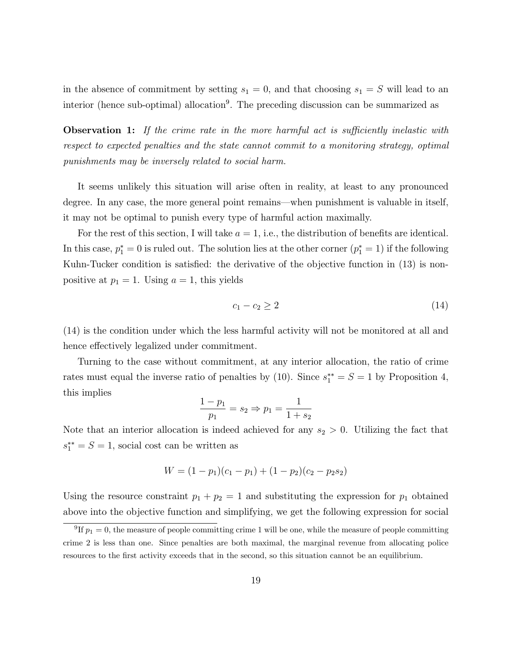in the absence of commitment by setting  $s_1 = 0$ , and that choosing  $s_1 = S$  will lead to an interior (hence sub-optimal) allocation<sup>9</sup>. The preceding discussion can be summarized as

**Observation 1:** If the crime rate in the more harmful act is sufficiently inelastic with respect to expected penalties and the state cannot commit to a monitoring strategy, optimal punishments may be inversely related to social harm.

It seems unlikely this situation will arise often in reality, at least to any pronounced degree. In any case, the more general point remains—when punishment is valuable in itself, it may not be optimal to punish every type of harmful action maximally.

For the rest of this section, I will take  $a = 1$ , i.e., the distribution of benefits are identical. In this case,  $p_1^* = 0$  is ruled out. The solution lies at the other corner  $(p_1^* = 1)$  if the following Kuhn-Tucker condition is satisfied: the derivative of the objective function in (13) is nonpositive at  $p_1 = 1$ . Using  $a = 1$ , this yields

$$
c_1 - c_2 \ge 2 \tag{14}
$$

(14) is the condition under which the less harmful activity will not be monitored at all and hence effectively legalized under commitment.

Turning to the case without commitment, at any interior allocation, the ratio of crime rates must equal the inverse ratio of penalties by (10). Since  $s_1^{**} = S = 1$  by Proposition 4, this implies

$$
\frac{1 - p_1}{p_1} = s_2 \Rightarrow p_1 = \frac{1}{1 + s_2}
$$

Note that an interior allocation is indeed achieved for any  $s_2 > 0$ . Utilizing the fact that  $s_1^{**} = S = 1$ , social cost can be written as

$$
W = (1 - p_1)(c_1 - p_1) + (1 - p_2)(c_2 - p_2 s_2)
$$

Using the resource constraint  $p_1 + p_2 = 1$  and substituting the expression for  $p_1$  obtained above into the objective function and simplifying, we get the following expression for social

<sup>&</sup>lt;sup>9</sup>If  $p_1 = 0$ , the measure of people committing crime 1 will be one, while the measure of people committing crime 2 is less than one. Since penalties are both maximal, the marginal revenue from allocating police resources to the first activity exceeds that in the second, so this situation cannot be an equilibrium.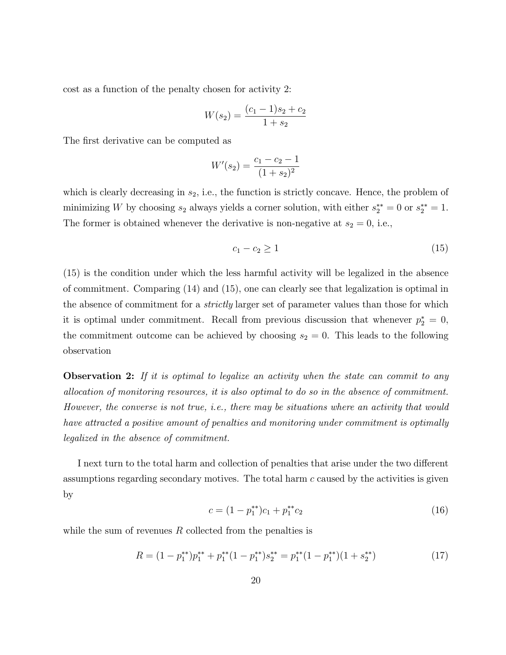cost as a function of the penalty chosen for activity 2:

$$
W(s_2) = \frac{(c_1 - 1)s_2 + c_2}{1 + s_2}
$$

The first derivative can be computed as

$$
W'(s_2) = \frac{c_1 - c_2 - 1}{(1 + s_2)^2}
$$

which is clearly decreasing in  $s_2$ , i.e., the function is strictly concave. Hence, the problem of minimizing W by choosing  $s_2$  always yields a corner solution, with either  $s_2^{**} = 0$  or  $s_2^{**} = 1$ . The former is obtained whenever the derivative is non-negative at  $s_2 = 0$ , i.e.,

$$
c_1 - c_2 \ge 1\tag{15}
$$

(15) is the condition under which the less harmful activity will be legalized in the absence of commitment. Comparing (14) and (15), one can clearly see that legalization is optimal in the absence of commitment for a strictly larger set of parameter values than those for which it is optimal under commitment. Recall from previous discussion that whenever  $p_2^* = 0$ , the commitment outcome can be achieved by choosing  $s_2 = 0$ . This leads to the following observation

**Observation 2:** If it is optimal to legalize an activity when the state can commit to any allocation of monitoring resources, it is also optimal to do so in the absence of commitment. However, the converse is not true, i.e., there may be situations where an activity that would have attracted a positive amount of penalties and monitoring under commitment is optimally legalized in the absence of commitment.

I next turn to the total harm and collection of penalties that arise under the two different assumptions regarding secondary motives. The total harm  $c$  caused by the activities is given by

$$
c = (1 - p_1^{**})c_1 + p_1^{**}c_2 \tag{16}
$$

while the sum of revenues  $R$  collected from the penalties is

$$
R = (1 - p_1^{**})p_1^{**} + p_1^{**}(1 - p_1^{**})s_2^{**} = p_1^{**}(1 - p_1^{**})(1 + s_2^{**})
$$
\n
$$
(17)
$$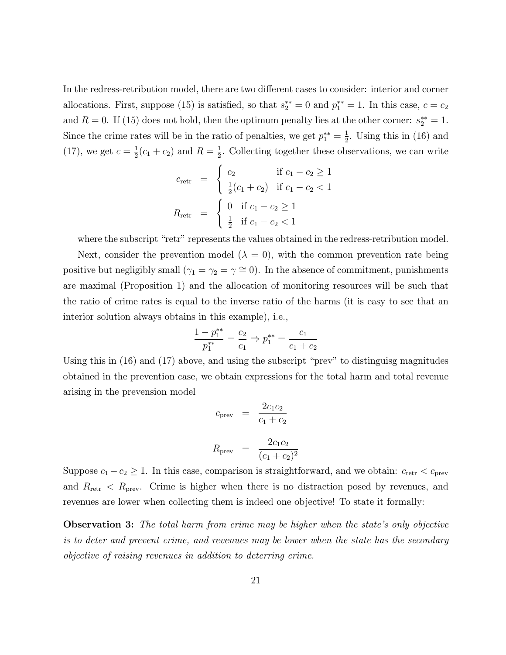In the redress-retribution model, there are two different cases to consider: interior and corner allocations. First, suppose (15) is satisfied, so that  $s_2^{**} = 0$  and  $p_1^{**} = 1$ . In this case,  $c = c_2$ and  $R = 0$ . If (15) does not hold, then the optimum penalty lies at the other corner:  $s_2^{**} = 1$ . Since the crime rates will be in the ratio of penalties, we get  $p_1^{**} = \frac{1}{2}$  $\frac{1}{2}$ . Using this in (16) and (17), we get  $c = \frac{1}{2}$  $\frac{1}{2}(c_1 + c_2)$  and  $R = \frac{1}{2}$  $\frac{1}{2}$ . Collecting together these observations, we can write

$$
c_{\text{retr}} = \begin{cases} c_2 & \text{if } c_1 - c_2 \ge 1 \\ \frac{1}{2}(c_1 + c_2) & \text{if } c_1 - c_2 < 1 \end{cases}
$$

$$
R_{\text{retr}} = \begin{cases} 0 & \text{if } c_1 - c_2 \ge 1 \\ \frac{1}{2} & \text{if } c_1 - c_2 < 1 \end{cases}
$$

where the subscript "retr" represents the values obtained in the redress-retribution model.

Next, consider the prevention model  $(\lambda = 0)$ , with the common prevention rate being positive but negligibly small  $(\gamma_1 = \gamma_2 = \gamma \cong 0)$ . In the absence of commitment, punishments are maximal (Proposition 1) and the allocation of monitoring resources will be such that the ratio of crime rates is equal to the inverse ratio of the harms (it is easy to see that an interior solution always obtains in this example), i.e.,

$$
\frac{1 - p_1^{**}}{p_1^{**}} = \frac{c_2}{c_1} \Rightarrow p_1^{**} = \frac{c_1}{c_1 + c_2}
$$

Using this in  $(16)$  and  $(17)$  above, and using the subscript "prev" to distinguisg magnitudes obtained in the prevention case, we obtain expressions for the total harm and total revenue arising in the prevension model

$$
c_{\text{prev}} = \frac{2c_1c_2}{c_1 + c_2}
$$

$$
R_{\text{prev}} = \frac{2c_1c_2}{(c_1 + c_2)^2}
$$

Suppose  $c_1 - c_2 \geq 1$ . In this case, comparison is straightforward, and we obtain:  $c_{\text{retr}} < c_{\text{prev}}$ and  $R_{\text{retr}} < R_{\text{prev}}$ . Crime is higher when there is no distraction posed by revenues, and revenues are lower when collecting them is indeed one objective! To state it formally:

**Observation 3:** The total harm from crime may be higher when the state's only objective is to deter and prevent crime, and revenues may be lower when the state has the secondary objective of raising revenues in addition to deterring crime.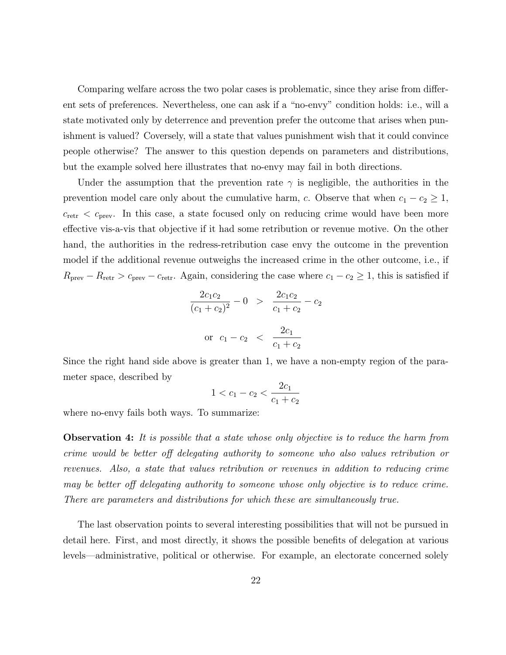Comparing welfare across the two polar cases is problematic, since they arise from different sets of preferences. Nevertheless, one can ask if a "no-envy" condition holds: i.e., will a state motivated only by deterrence and prevention prefer the outcome that arises when punishment is valued? Coversely, will a state that values punishment wish that it could convince people otherwise? The answer to this question depends on parameters and distributions, but the example solved here illustrates that no-envy may fail in both directions.

Under the assumption that the prevention rate  $\gamma$  is negligible, the authorities in the prevention model care only about the cumulative harm, c. Observe that when  $c_1 - c_2 \ge 1$ ,  $c_{\text{retr}}$  <  $c_{\text{prev}}$ . In this case, a state focused only on reducing crime would have been more effective vis-a-vis that objective if it had some retribution or revenue motive. On the other hand, the authorities in the redress-retribution case envy the outcome in the prevention model if the additional revenue outweighs the increased crime in the other outcome, i.e., if  $R_{\text{prev}} - R_{\text{retr}} > c_{\text{prev}} - c_{\text{retr}}$ . Again, considering the case where  $c_1 - c_2 \geq 1$ , this is satisfied if

$$
\frac{2c_1c_2}{(c_1+c_2)^2} - 0 > \frac{2c_1c_2}{c_1+c_2} - c_2
$$
  
or  $c_1 - c_2 < \frac{2c_1}{c_1+c_2}$ 

Since the right hand side above is greater than 1, we have a non-empty region of the parameter space, described by

$$
1 < c_1 - c_2 < \frac{2c_1}{c_1 + c_2}
$$

where no-envy fails both ways. To summarize:

**Observation 4:** It is possible that a state whose only objective is to reduce the harm from crime would be better off delegating authority to someone who also values retribution or revenues. Also, a state that values retribution or revenues in addition to reducing crime may be better off delegating authority to someone whose only objective is to reduce crime. There are parameters and distributions for which these are simultaneously true.

The last observation points to several interesting possibilities that will not be pursued in detail here. First, and most directly, it shows the possible benets of delegation at various levels—administrative, political or otherwise. For example, an electorate concerned solely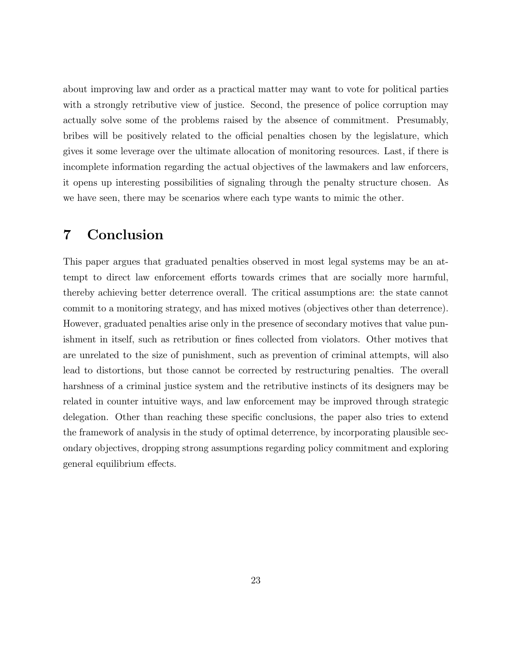about improving law and order as a practical matter may want to vote for political parties with a strongly retributive view of justice. Second, the presence of police corruption may actually solve some of the problems raised by the absence of commitment. Presumably, bribes will be positively related to the official penalties chosen by the legislature, which gives it some leverage over the ultimate allocation of monitoring resources. Last, if there is incomplete information regarding the actual objectives of the lawmakers and law enforcers, it opens up interesting possibilities of signaling through the penalty structure chosen. As we have seen, there may be scenarios where each type wants to mimic the other.

## 7 Conclusion

This paper argues that graduated penalties observed in most legal systems may be an attempt to direct law enforcement efforts towards crimes that are socially more harmful, thereby achieving better deterrence overall. The critical assumptions are: the state cannot commit to a monitoring strategy, and has mixed motives (objectives other than deterrence). However, graduated penalties arise only in the presence of secondary motives that value punishment in itself, such as retribution or fines collected from violators. Other motives that are unrelated to the size of punishment, such as prevention of criminal attempts, will also lead to distortions, but those cannot be corrected by restructuring penalties. The overall harshness of a criminal justice system and the retributive instincts of its designers may be related in counter intuitive ways, and law enforcement may be improved through strategic delegation. Other than reaching these specic conclusions, the paper also tries to extend the framework of analysis in the study of optimal deterrence, by incorporating plausible secondary objectives, dropping strong assumptions regarding policy commitment and exploring general equilibrium effects.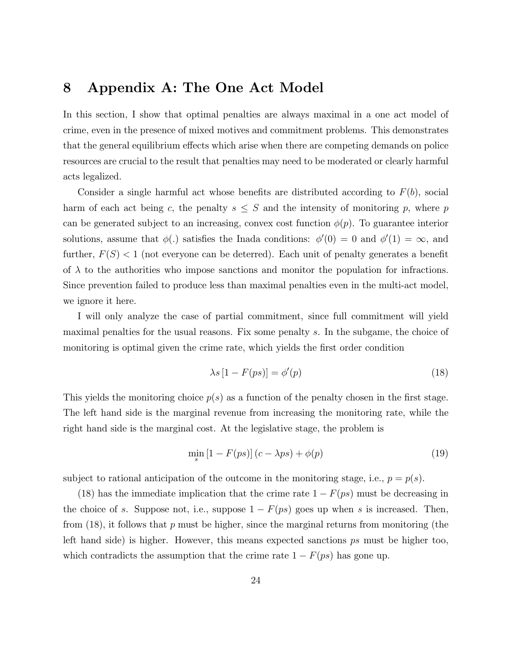## 8 Appendix A: The One Act Model

In this section, I show that optimal penalties are always maximal in a one act model of crime, even in the presence of mixed motives and commitment problems. This demonstrates that the general equilibrium effects which arise when there are competing demands on police resources are crucial to the result that penalties may need to be moderated or clearly harmful acts legalized.

Consider a single harmful act whose benefits are distributed according to  $F(b)$ , social harm of each act being c, the penalty  $s \leq S$  and the intensity of monitoring p, where p can be generated subject to an increasing, convex cost function  $\phi(p)$ . To guarantee interior solutions, assume that  $\phi(.)$  satisfies the Inada conditions:  $\phi'(0) = 0$  and  $\phi'(1) = \infty$ , and further,  $F(S) < 1$  (not everyone can be deterred). Each unit of penalty generates a benefit of  $\lambda$  to the authorities who impose sanctions and monitor the population for infractions. Since prevention failed to produce less than maximal penalties even in the multi-act model, we ignore it here.

I will only analyze the case of partial commitment, since full commitment will yield maximal penalties for the usual reasons. Fix some penalty s. In the subgame, the choice of monitoring is optimal given the crime rate, which yields the first order condition

$$
\lambda s \left[ 1 - F(ps) \right] = \phi'(p) \tag{18}
$$

This yields the monitoring choice  $p(s)$  as a function of the penalty chosen in the first stage. The left hand side is the marginal revenue from increasing the monitoring rate, while the right hand side is the marginal cost. At the legislative stage, the problem is

$$
\min_{s} [1 - F(ps)](c - \lambda ps) + \phi(p) \tag{19}
$$

subject to rational anticipation of the outcome in the monitoring stage, i.e.,  $p = p(s)$ .

(18) has the immediate implication that the crime rate  $1 - F(ps)$  must be decreasing in the choice of s. Suppose not, i.e., suppose  $1 - F(ps)$  goes up when s is increased. Then, from  $(18)$ , it follows that p must be higher, since the marginal returns from monitoring (the left hand side) is higher. However, this means expected sanctions ps must be higher too, which contradicts the assumption that the crime rate  $1 - F(ps)$  has gone up.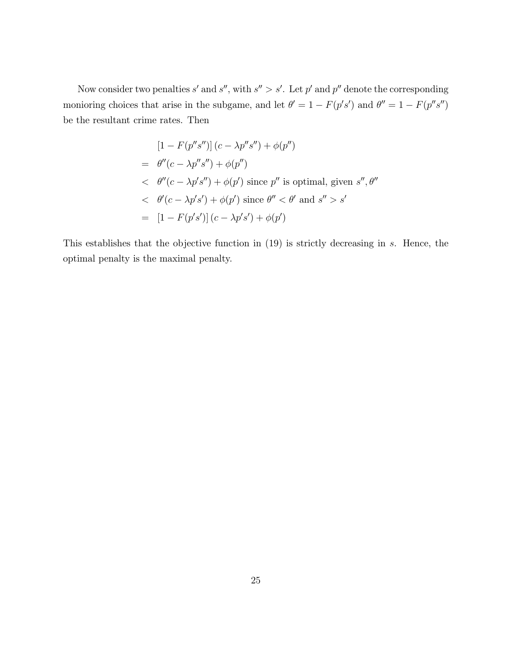Now consider two penalties s' and s'', with  $s'' > s'$ . Let p' and p'' denote the corresponding monioring choices that arise in the subgame, and let  $\theta' = 1 - F(p's')$  and  $\theta'' = 1 - F(p's'')$ be the resultant crime rates. Then

$$
[1 - F(p''s'')] (c - \lambda p''s'') + \phi(p'')
$$
  
=  $\theta''(c - \lambda p''s'') + \phi(p'')$   
<  $\theta''(c - \lambda p's'') + \phi(p')$  since  $p''$  is optimal, given  $s'', \theta''$   
<  $\theta'(c - \lambda p's') + \phi(p')$  since  $\theta'' < \theta'$  and  $s'' > s'$   
=  $[1 - F(p's')] (c - \lambda p's') + \phi(p')$ 

This establishes that the objective function in (19) is strictly decreasing in s. Hence, the optimal penalty is the maximal penalty.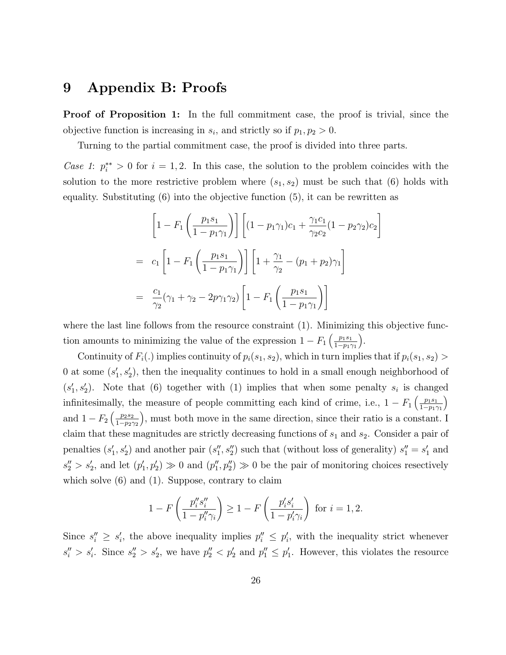## 9 Appendix B: Proofs

**Proof of Proposition 1:** In the full commitment case, the proof is trivial, since the objective function is increasing in  $s_i$ , and strictly so if  $p_1, p_2 > 0$ .

Turning to the partial commitment case, the proof is divided into three parts.

Case 1:  $p_i^{**} > 0$  for  $i = 1, 2$ . In this case, the solution to the problem coincides with the solution to the more restrictive problem where  $(s_1, s_2)$  must be such that (6) holds with equality. Substituting  $(6)$  into the objective function  $(5)$ , it can be rewritten as

$$
\left[1 - F_1 \left(\frac{p_1 s_1}{1 - p_1 \gamma_1}\right)\right] \left[(1 - p_1 \gamma_1)c_1 + \frac{\gamma_1 c_1}{\gamma_2 c_2}(1 - p_2 \gamma_2)c_2\right]
$$
  
=  $c_1 \left[1 - F_1 \left(\frac{p_1 s_1}{1 - p_1 \gamma_1}\right)\right] \left[1 + \frac{\gamma_1}{\gamma_2} - (p_1 + p_2)\gamma_1\right]$   
=  $\frac{c_1}{\gamma_2} (\gamma_1 + \gamma_2 - 2p\gamma_1 \gamma_2) \left[1 - F_1 \left(\frac{p_1 s_1}{1 - p_1 \gamma_1}\right)\right]$ 

where the last line follows from the resource constraint (1). Minimizing this objective function amounts to minimizing the value of the expression  $1 - F_1 \left( \frac{p_1 s_1}{1 - p_1 s_1} \right)$  $1 - p_1 \gamma_1$ .

Continuity of  $F_i(.)$  implies continuity of  $p_i(s_1, s_2)$ , which in turn implies that if  $p_i(s_1, s_2)$ 0 at some  $(s'_1, s'_2)$ , then the inequality continues to hold in a small enough neighborhood of  $(s'_1, s'_2)$ . Note that (6) together with (1) implies that when some penalty  $s_i$  is changed infinitesimally, the measure of people committing each kind of crime, i.e.,  $1 - F_1 \left( \frac{p_1 s_1}{1 - p_1 s_1} \right)$  $1 - p_1 \gamma_1$  $\overline{ }$ and  $1 - F_2 \left( \frac{p_2 s_2}{1 - p_2 s} \right)$  $1 - p_2 \gamma_2$ ), must both move in the same direction, since their ratio is a constant. I claim that these magnitudes are strictly decreasing functions of  $s_1$  and  $s_2$ . Consider a pair of penalties  $(s'_1, s'_2)$  and another pair  $(s''_1, s''_2)$  such that (without loss of generality)  $s''_1 = s'_1$  and  $s_2'' > s_2'$ , and let  $(p'_1, p'_2) \gg 0$  and  $(p''_1, p''_2) \gg 0$  be the pair of monitoring choices resectively which solve  $(6)$  and  $(1)$ . Suppose, contrary to claim

$$
1 - F\left(\frac{p_i''s_i''}{1 - p_i''\gamma_i}\right) \ge 1 - F\left(\frac{p_i's_i'}{1 - p_i'\gamma_i}\right) \text{ for } i = 1, 2.
$$

Since  $s''_i \geq s'_i$ , the above inequality implies  $p''_i \leq p'_i$ , with the inequality strict whenever  $s''_i > s'_i$ . Since  $s''_2 > s'_2$ , we have  $p''_2 < p'_2$  and  $p''_1 \le p'_1$ . However, this violates the resource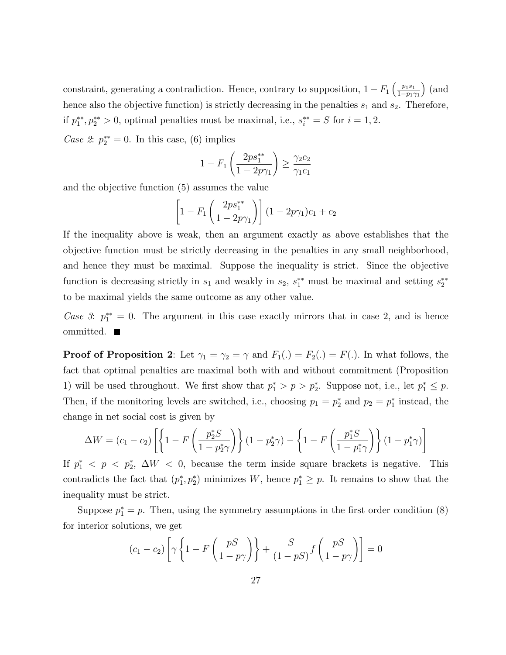constraint, generating a contradiction. Hence, contrary to supposition,  $1 - F_1 \left( \frac{p_1 s_1}{1 - p_1 s_1} \right)$  $1 - p_1 \gamma_1$  $\big)$  (and hence also the objective function) is strictly decreasing in the penalties  $s_1$  and  $s_2$ . Therefore, if  $p_1^{**}, p_2^{**} > 0$ , optimal penalties must be maximal, i.e.,  $s_i^{**} = S$  for  $i = 1, 2$ .

Case 2:  $p_2^{**} = 0$ . In this case, (6) implies

$$
1 - F_1 \left( \frac{2p s_1^{**}}{1 - 2p \gamma_1} \right) \ge \frac{\gamma_2 c_2}{\gamma_1 c_1}
$$

and the objective function (5) assumes the value

$$
\[1 - F_1 \left(\frac{2p s_1^{**}}{1 - 2p\gamma_1}\right) \] (1 - 2p\gamma_1)c_1 + c_2
$$

If the inequality above is weak, then an argument exactly as above establishes that the objective function must be strictly decreasing in the penalties in any small neighborhood, and hence they must be maximal. Suppose the inequality is strict. Since the objective function is decreasing strictly in  $s_1$  and weakly in  $s_2$ ,  $s_1^{**}$  must be maximal and setting  $s_2^{**}$ to be maximal yields the same outcome as any other value.

Case 3:  $p_1^{**} = 0$ . The argument in this case exactly mirrors that in case 2, and is hence ommitted. ■

**Proof of Proposition 2:** Let  $\gamma_1 = \gamma_2 = \gamma$  and  $F_1(.) = F_2(.) = F(.)$ . In what follows, the fact that optimal penalties are maximal both with and without commitment (Proposition 1) will be used throughout. We first show that  $p_1^* > p > p_2^*$ . Suppose not, i.e., let  $p_1^* \leq p$ . Then, if the monitoring levels are switched, i.e., choosing  $p_1 = p_2^*$  and  $p_2 = p_1^*$  instead, the change in net social cost is given by

$$
\Delta W = (c_1 - c_2) \left[ \left\{ 1 - F\left(\frac{p_2^* S}{1 - p_2^* \gamma}\right) \right\} (1 - p_2^*) - \left\{ 1 - F\left(\frac{p_1^* S}{1 - p_1^* \gamma}\right) \right\} (1 - p_1^*) \right]
$$

If  $p_1^*$   $\langle p \rangle \langle p_2^* | \Delta W \rangle \langle 0$ , because the term inside square brackets is negative. This contradicts the fact that  $(p_1^*, p_2^*)$  minimizes W, hence  $p_1^* \geq p$ . It remains to show that the inequality must be strict.

Suppose  $p_1^* = p$ . Then, using the symmetry assumptions in the first order condition (8) for interior solutions, we get

$$
(c_1 - c_2) \left[ \gamma \left\{ 1 - F\left(\frac{pS}{1 - p\gamma}\right) \right\} + \frac{S}{(1 - pS)} f\left(\frac{pS}{1 - p\gamma}\right) \right] = 0
$$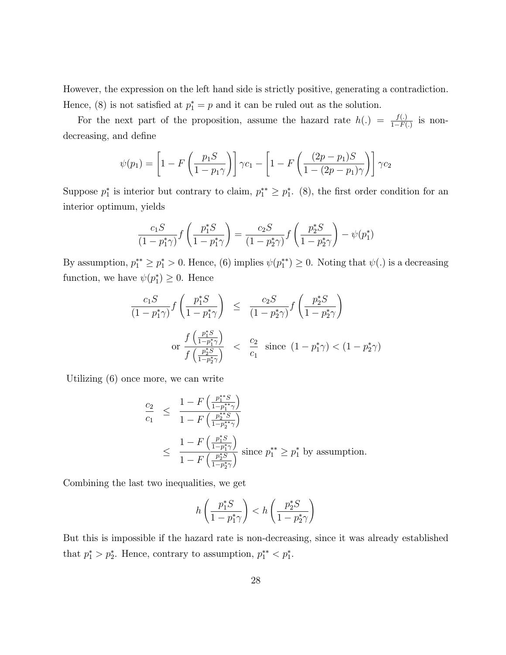However, the expression on the left hand side is strictly positive, generating a contradiction. Hence, (8) is not satisfied at  $p_1^* = p$  and it can be ruled out as the solution.

For the next part of the proposition, assume the hazard rate  $h(.) = \frac{f(.)}{1 - F(.)}$  is nondecreasing, and define

$$
\psi(p_1) = \left[1 - F\left(\frac{p_1 S}{1 - p_1 \gamma}\right)\right] \gamma c_1 - \left[1 - F\left(\frac{(2p - p_1)S}{1 - (2p - p_1)\gamma}\right)\right] \gamma c_2
$$

Suppose  $p_1^*$  is interior but contrary to claim,  $p_1^{**} \geq p_1^*$ . (8), the first order condition for an interior optimum, yields

$$
\frac{c_1 S}{(1 - p_1^* \gamma)} f\left(\frac{p_1^* S}{1 - p_1^* \gamma}\right) = \frac{c_2 S}{(1 - p_2^* \gamma)} f\left(\frac{p_2^* S}{1 - p_2^* \gamma}\right) - \psi(p_1^*)
$$

By assumption,  $p_1^{**} \ge p_1^* > 0$ . Hence, (6) implies  $\psi(p_1^{**}) \ge 0$ . Noting that  $\psi(.)$  is a decreasing function, we have  $\psi(p_1^*) \geq 0$ . Hence

$$
\frac{c_1 S}{(1 - p_1^* \gamma)} f\left(\frac{p_1^* S}{1 - p_1^* \gamma}\right) \le \frac{c_2 S}{(1 - p_2^* \gamma)} f\left(\frac{p_2^* S}{1 - p_2^* \gamma}\right)
$$
\n
$$
\text{or } \frac{f\left(\frac{p_1^* S}{1 - p_1^* \gamma}\right)}{f\left(\frac{p_2^* S}{1 - p_2^* \gamma}\right)} \le \frac{c_2}{c_1} \text{ since } (1 - p_1^* \gamma) < (1 - p_2^* \gamma)
$$

Utilizing (6) once more, we can write

$$
\frac{c_2}{c_1} \le \frac{1 - F\left(\frac{p_1^{**}S}{1 - p_1^{**}\gamma}\right)}{1 - F\left(\frac{p_2^{**}S}{1 - p_2^{**}\gamma}\right)}
$$
\n
$$
\le \frac{1 - F\left(\frac{p_1^*S}{1 - p_1^*\gamma}\right)}{1 - F\left(\frac{p_2^*S}{1 - p_2^*\gamma}\right)} \text{ since } p_1^{**} \ge p_1^* \text{ by assumption.}
$$

Combining the last two inequalities, we get

$$
h\left(\frac{p_1^*S}{1-p_1^*\gamma}\right) < h\left(\frac{p_2^*S}{1-p_2^*\gamma}\right)
$$

But this is impossible if the hazard rate is non-decreasing, since it was already established that  $p_1^* > p_2^*$ . Hence, contrary to assumption,  $p_1^{**} < p_1^*$ .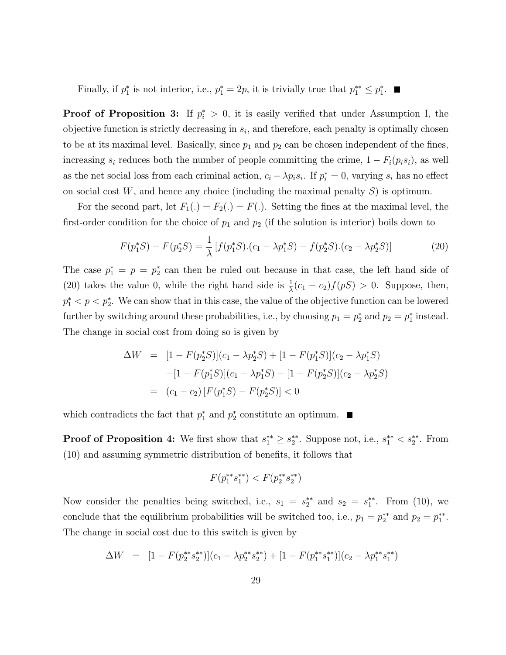Finally, if  $p_1^*$  is not interior, i.e.,  $p_1^* = 2p$ , it is trivially true that  $p_1^{**} \leq p_1^*$ .

**Proof of Proposition 3:** If  $p_i^* > 0$ , it is easily verified that under Assumption I, the objective function is strictly decreasing in  $s_i$ , and therefore, each penalty is optimally chosen to be at its maximal level. Basically, since  $p_1$  and  $p_2$  can be chosen independent of the fines, increasing  $s_i$  reduces both the number of people committing the crime,  $1 - F_i(p_i s_i)$ , as well as the net social loss from each criminal action,  $c_i - \lambda p_i s_i$ . If  $p_i^* = 0$ , varying  $s_i$  has no effect on social cost  $W$ , and hence any choice (including the maximal penalty  $S$ ) is optimum.

For the second part, let  $F_1(.) = F_2(.) = F(.)$ . Setting the fines at the maximal level, the first-order condition for the choice of  $p_1$  and  $p_2$  (if the solution is interior) boils down to

$$
F(p_1^*S) - F(p_2^*S) = \frac{1}{\lambda} \left[ f(p_1^*S) \cdot (c_1 - \lambda p_1^*S) - f(p_2^*S) \cdot (c_2 - \lambda p_2^*S) \right]
$$
(20)

The case  $p_1^* = p = p_2^*$  can then be ruled out because in that case, the left hand side of (20) takes the value 0, while the right hand side is  $\frac{1}{\lambda}(c_1 - c_2)f(pS) > 0$ . Suppose, then,  $p_1^* < p \lt p_2^*$ . We can show that in this case, the value of the objective function can be lowered further by switching around these probabilities, i.e., by choosing  $p_1 = p_2^*$  and  $p_2 = p_1^*$  instead. The change in social cost from doing so is given by

$$
\Delta W = [1 - F(p_2^*S)](c_1 - \lambda p_2^*S) + [1 - F(p_1^*S)](c_2 - \lambda p_1^*S)
$$

$$
-[1 - F(p_1^*S)](c_1 - \lambda p_1^*S) - [1 - F(p_2^*S)](c_2 - \lambda p_2^*S)
$$

$$
= (c_1 - c_2) [F(p_1^*S) - F(p_2^*S)] < 0
$$

which contradicts the fact that  $p_1^*$  and  $p_2^*$  constitute an optimum.

**Proof of Proposition 4:** We first show that  $s_1^{**} \geq s_2^{**}$ . Suppose not, i.e.,  $s_1^{**} \lt s_2^{**}$ . From (10) and assuming symmetric distribution of benets, it follows that

$$
F(p_1^{**} s_1^{**}) < F(p_2^{**} s_2^{**})
$$

Now consider the penalties being switched, i.e.,  $s_1 = s_2^{**}$  and  $s_2 = s_1^{**}$ . From (10), we conclude that the equilibrium probabilities will be switched too, i.e.,  $p_1 = p_2^{**}$  and  $p_2 = p_1^{**}$ . The change in social cost due to this switch is given by

$$
\Delta W = [1 - F(p_2^{**} s_2^{**})](c_1 - \lambda p_2^{**} s_2^{**}) + [1 - F(p_1^{**} s_1^{**})](c_2 - \lambda p_1^{**} s_1^{**})
$$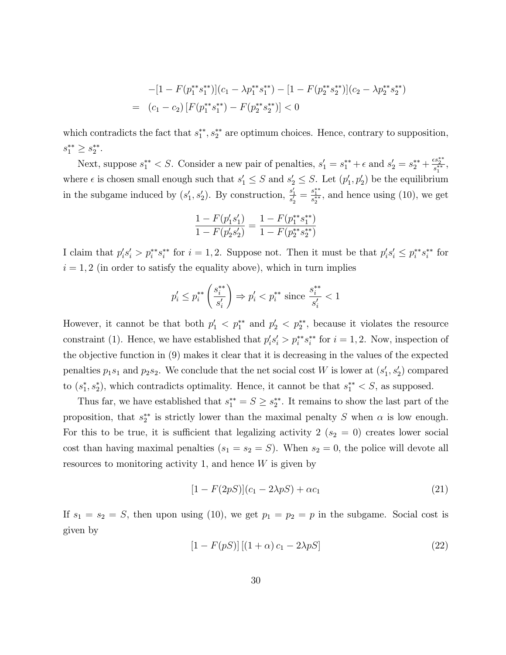$$
-[1 - F(p_1^{**} s_1^{**})](c_1 - \lambda p_1^{**} s_1^{**}) - [1 - F(p_2^{**} s_2^{**})](c_2 - \lambda p_2^{**} s_2^{**})
$$
  
= 
$$
(c_1 - c_2) [F(p_1^{**} s_1^{**}) - F(p_2^{**} s_2^{**})] < 0
$$

which contradicts the fact that  $s_1^{**}, s_2^{**}$  are optimum choices. Hence, contrary to supposition,  $s_1^{**} \geq s_2^{**}.$ 

Next, suppose  $s_1^{**} < S$ . Consider a new pair of penalties,  $s_1' = s_1^{**} + \epsilon$  and  $s_2' = s_2^{**} + \frac{\epsilon s_2^{**}}{s_1^{**}},$ where  $\epsilon$  is chosen small enough such that  $s'_1 \leq S$  and  $s'_2 \leq S$ . Let  $(p'_1, p'_2)$  be the equilibrium in the subgame induced by  $(s'_1, s'_2)$ . By construction,  $\frac{s'_1}{s'_2} = \frac{s_1^{**}}{s_2^{**}}$ , and hence using (10), we get

$$
\frac{1 - F(p'_1 s'_1)}{1 - F(p'_2 s'_2)} = \frac{1 - F(p_1^{**} s_1^{**})}{1 - F(p_2^{**} s_2^{**})}
$$

I claim that  $p_i's_i' > p_i^{**} s_i^{**}$  for  $i = 1, 2$ . Suppose not. Then it must be that  $p_i's_i' \leq p_i^{**} s_i^{**}$  for  $i = 1, 2$  (in order to satisfy the equality above), which in turn implies

$$
p'_i \le p_i^{**} \left( \frac{s_i^{**}}{s'_i} \right) \Rightarrow p'_i < p_i^{**} \text{ since } \frac{s_i^{**}}{s'_i} < 1
$$

However, it cannot be that both  $p'_1 < p_1^{**}$  and  $p'_2 < p_2^{**}$ , because it violates the resource constraint (1). Hence, we have established that  $p_i's_i' > p_i^{**} s_i^{**}$  for  $i = 1, 2$ . Now, inspection of the objective function in (9) makes it clear that it is decreasing in the values of the expected penalties  $p_1s_1$  and  $p_2s_2$ . We conclude that the net social cost W is lower at  $(s'_1, s'_2)$  compared to  $(s_1^*, s_2^*)$ , which contradicts optimality. Hence, it cannot be that  $s_1^{**} < S$ , as supposed.

Thus far, we have established that  $s_1^{**} = S \geq s_2^{**}$ . It remains to show the last part of the proposition, that  $s_2^{**}$  is strictly lower than the maximal penalty S when  $\alpha$  is low enough. For this to be true, it is sufficient that legalizing activity 2 ( $s_2 = 0$ ) creates lower social cost than having maximal penalties  $(s_1 = s_2 = S)$ . When  $s_2 = 0$ , the police will devote all resources to monitoring activity 1, and hence  $W$  is given by

$$
[1 - F(2pS)](c_1 - 2\lambda pS) + \alpha c_1 \tag{21}
$$

If  $s_1 = s_2 = S$ , then upon using (10), we get  $p_1 = p_2 = p$  in the subgame. Social cost is given by

$$
[1 - F(pS)][(1 + \alpha)c_1 - 2\lambda pS]
$$
\n(22)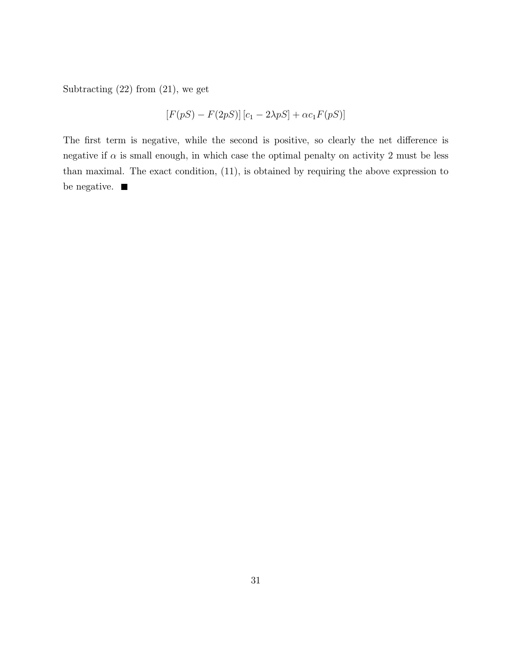Subtracting (22) from (21), we get

$$
[F(pS) - F(2pS)] [c1 - 2\lambda pS] + \alpha c1 F(pS)]
$$

The first term is negative, while the second is positive, so clearly the net difference is negative if  $\alpha$  is small enough, in which case the optimal penalty on activity 2 must be less than maximal. The exact condition, (11), is obtained by requiring the above expression to be negative.  $\blacksquare$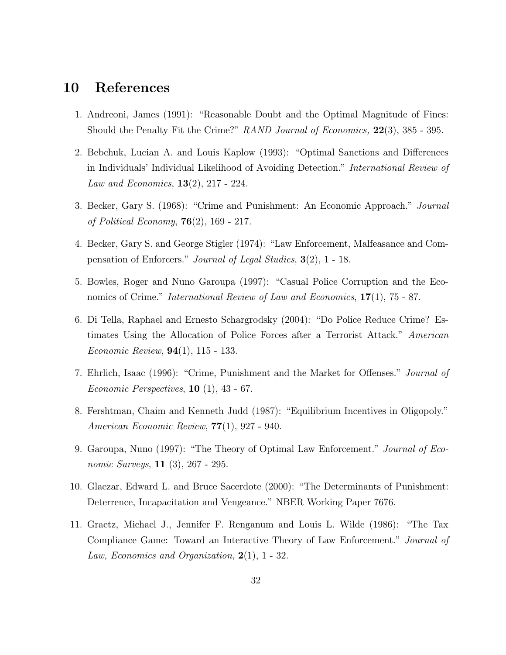## 10 References

- 1. Andreoni, James (1991): "Reasonable Doubt and the Optimal Magnitude of Fines: Should the Penalty Fit the Crime?" RAND Journal of Economics, 22(3), 385 - 395.
- 2. Bebchuk, Lucian A. and Louis Kaplow (1993): "Optimal Sanctions and Differences in Individuals' Individual Likelihood of Avoiding Detection." International Review of *Law and Economics*,  $13(2)$ ,  $217 - 224$ .
- 3. Becker, Gary S. (1968): "Crime and Punishment: An Economic Approach." *Journal* of Political Economy,  $76(2)$ , 169 - 217.
- 4. Becker, Gary S. and George Stigler (1974): "Law Enforcement, Malfeasance and Compensation of Enforcers." Journal of Legal Studies, 3(2), 1 - 18.
- 5. Bowles, Roger and Nuno Garoupa (1997): "Casual Police Corruption and the Economics of Crime." International Review of Law and Economics,  $17(1)$ , 75 - 87.
- 6. Di Tella, Raphael and Ernesto Schargrodsky (2004): "Do Police Reduce Crime? Estimates Using the Allocation of Police Forces after a Terrorist Attack." American Economic Review, 94(1), 115 - 133.
- 7. Ehrlich, Isaac (1996): "Crime, Punishment and the Market for Offenses." *Journal of* Economic Perspectives,  $10$  (1),  $43$  - 67.
- 8. Fershtman, Chaim and Kenneth Judd (1987): "Equilibrium Incentives in Oligopoly." American Economic Review, 77(1), 927 - 940.
- 9. Garoupa, Nuno (1997): "The Theory of Optimal Law Enforcement." Journal of Economic Surveys, 11 (3), 267 - 295.
- 10. Glaezar, Edward L. and Bruce Sacerdote (2000): \The Determinants of Punishment: Deterrence, Incapacitation and Vengeance." NBER Working Paper 7676.
- 11. Graetz, Michael J., Jennifer F. Renganum and Louis L. Wilde (1986): \The Tax Compliance Game: Toward an Interactive Theory of Law Enforcement." Journal of Law, Economics and Organization,  $2(1)$ , 1 - 32.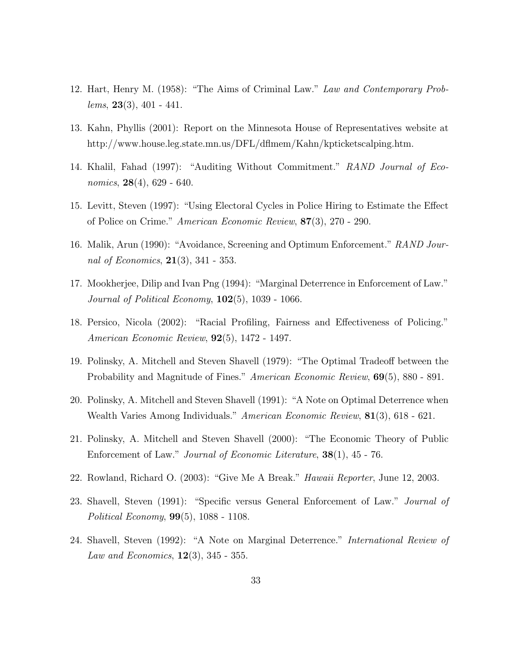- 12. Hart, Henry M. (1958): \The Aims of Criminal Law." Law and Contemporary Prob $lems, 23(3), 401 - 441.$
- 13. Kahn, Phyllis (2001): Report on the Minnesota House of Representatives website at http://www.house.leg.state.mn.us/DFL/d
mem/Kahn/kpticketscalping.htm.
- 14. Khalil, Fahad (1997): "Auditing Without Commitment." RAND Journal of Economics,  $28(4)$ , 629 - 640.
- 15. Levitt, Steven (1997): "Using Electoral Cycles in Police Hiring to Estimate the Effect of Police on Crime." American Economic Review, 87(3), 270 - 290.
- 16. Malik, Arun (1990): "Avoidance, Screening and Optimum Enforcement." RAND Journal of Economics,  $21(3)$ , 341 - 353.
- 17. Mookherjee, Dilip and Ivan Png (1994): "Marginal Deterrence in Enforcement of Law." Journal of Political Economy,  $102(5)$ , 1039 - 1066.
- 18. Persico, Nicola (2002): "Racial Profiling, Fairness and Effectiveness of Policing." American Economic Review, 92(5), 1472 - 1497.
- 19. Polinsky, A. Mitchell and Steven Shavell (1979): \The Optimal Tradeo between the Probability and Magnitude of Fines." American Economic Review, **69**(5), 880 - 891.
- 20. Polinsky, A. Mitchell and Steven Shavell (1991): "A Note on Optimal Deterrence when Wealth Varies Among Individuals." American Economic Review, 81(3), 618 - 621.
- 21. Polinsky, A. Mitchell and Steven Shavell (2000): \The Economic Theory of Public Enforcement of Law." Journal of Economic Literature, 38(1), 45 - 76.
- 22. Rowland, Richard O.  $(2003)$ : "Give Me A Break." *Hawaii Reporter*, June 12, 2003.
- 23. Shavell, Steven (1991): "Specific versus General Enforcement of Law." Journal of Political Economy, 99(5), 1088 - 1108.
- 24. Shavell, Steven (1992): "A Note on Marginal Deterrence." *International Review of Law and Economics*,  $12(3)$ ,  $345 - 355$ .